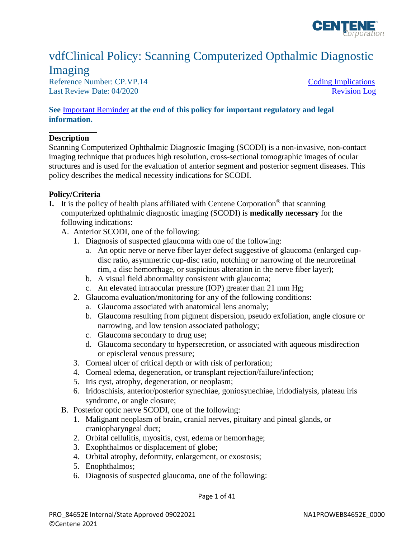

## vdfClinical Policy: Scanning Computerized Opthalmic Diagnostic Imaging

Reference Number: CP.VP.14 [Coding Implications](#page-3-0) Last Review Date: 04/2020

#### **See** [Important Reminder](#page-39-0) **at the end of this policy for important regulatory and legal information.**

#### **Description**

Scanning Computerized Ophthalmic Diagnostic Imaging (SCODI) is a non-invasive, non-contact imaging technique that produces high resolution, cross-sectional tomographic images of ocular structures and is used for the evaluation of anterior segment and posterior segment diseases. This policy describes the medical necessity indications for SCODI.

#### **Policy/Criteria**

- **I.** It is the policy of health plans affiliated with Centene Corporation<sup>®</sup> that scanning computerized ophthalmic diagnostic imaging (SCODI) is **medically necessary** for the following indications:
	- A. Anterior SCODI, one of the following:
		- 1. Diagnosis of suspected glaucoma with one of the following:
			- a. An optic nerve or nerve fiber layer defect suggestive of glaucoma (enlarged cupdisc ratio, asymmetric cup-disc ratio, notching or narrowing of the neuroretinal rim, a disc hemorrhage, or suspicious alteration in the nerve fiber layer);
			- b. A visual field abnormality consistent with glaucoma;
			- c. An elevated intraocular pressure (IOP) greater than 21 mm Hg;
		- 2. Glaucoma evaluation/monitoring for any of the following conditions:
			- a. Glaucoma associated with anatomical lens anomaly;
			- b. Glaucoma resulting from pigment dispersion, pseudo exfoliation, angle closure or narrowing, and low tension associated pathology;
			- c. Glaucoma secondary to drug use;
			- d. Glaucoma secondary to hypersecretion, or associated with aqueous misdirection or episcleral venous pressure;
		- 3. Corneal ulcer of critical depth or with risk of perforation;
		- 4. Corneal edema, degeneration, or transplant rejection/failure/infection;
		- 5. Iris cyst, atrophy, degeneration, or neoplasm;
		- 6. Iridoschisis, anterior/posterior synechiae, goniosynechiae, iridodialysis, plateau iris syndrome, or angle closure;
	- B. Posterior optic nerve SCODI, one of the following:
		- 1. Malignant neoplasm of brain, cranial nerves, pituitary and pineal glands, or craniopharyngeal duct;
		- 2. Orbital cellulitis, myositis, cyst, edema or hemorrhage;
		- 3. Exophthalmos or displacement of globe;
		- 4. Orbital atrophy, deformity, enlargement, or exostosis;
		- 5. Enophthalmos;
		- 6. Diagnosis of suspected glaucoma, one of the following: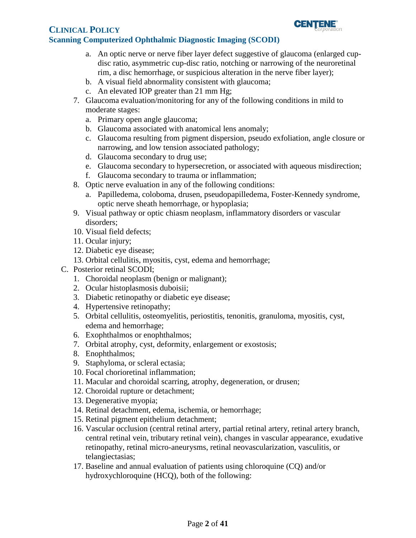

- a. An optic nerve or nerve fiber layer defect suggestive of glaucoma (enlarged cupdisc ratio, asymmetric cup-disc ratio, notching or narrowing of the neuroretinal rim, a disc hemorrhage, or suspicious alteration in the nerve fiber layer);
- b. A visual field abnormality consistent with glaucoma;
- c. An elevated IOP greater than 21 mm Hg;
- 7. Glaucoma evaluation/monitoring for any of the following conditions in mild to moderate stages:
	- a. Primary open angle glaucoma;
	- b. Glaucoma associated with anatomical lens anomaly;
	- c. Glaucoma resulting from pigment dispersion, pseudo exfoliation, angle closure or narrowing, and low tension associated pathology;
	- d. Glaucoma secondary to drug use;
	- e. Glaucoma secondary to hypersecretion, or associated with aqueous misdirection;
	- f. Glaucoma secondary to trauma or inflammation;
- 8. Optic nerve evaluation in any of the following conditions:
	- a. Papilledema, coloboma, drusen, pseudopapilledema, Foster-Kennedy syndrome, optic nerve sheath hemorrhage, or hypoplasia;
- 9. Visual pathway or optic chiasm neoplasm, inflammatory disorders or vascular disorders;
- 10. Visual field defects;
- 11. Ocular injury;
- 12. Diabetic eye disease;
- 13. Orbital cellulitis, myositis, cyst, edema and hemorrhage;
- C. Posterior retinal SCODI;
	- 1. Choroidal neoplasm (benign or malignant);
	- 2. Ocular histoplasmosis duboisii;
	- 3. Diabetic retinopathy or diabetic eye disease;
	- 4. Hypertensive retinopathy;
	- 5. Orbital cellulitis, osteomyelitis, periostitis, tenonitis, granuloma, myositis, cyst, edema and hemorrhage;
	- 6. Exophthalmos or enophthalmos;
	- 7. Orbital atrophy, cyst, deformity, enlargement or exostosis;
	- 8. Enophthalmos;
	- 9. Staphyloma, or scleral ectasia;
	- 10. Focal chorioretinal inflammation;
	- 11. Macular and choroidal scarring, atrophy, degeneration, or drusen;
	- 12. Choroidal rupture or detachment;
	- 13. Degenerative myopia;
	- 14. Retinal detachment, edema, ischemia, or hemorrhage;
	- 15. Retinal pigment epithelium detachment;
	- 16. Vascular occlusion (central retinal artery, partial retinal artery, retinal artery branch, central retinal vein, tributary retinal vein), changes in vascular appearance, exudative retinopathy, retinal micro-aneurysms, retinal neovascularization, vasculitis, or telangiectasias;
	- 17. Baseline and annual evaluation of patients using chloroquine (CQ) and/or hydroxychloroquine (HCQ), both of the following: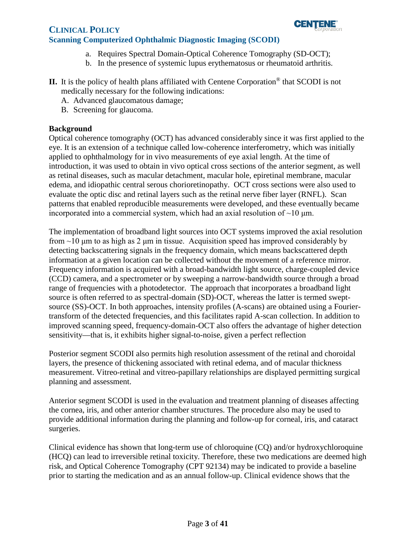

- a. Requires Spectral Domain-Optical Coherence Tomography (SD-OCT);
- b. In the presence of systemic lupus erythematosus or rheumatoid arthritis.
- **II.** It is the policy of health plans affiliated with Centene Corporation® that SCODI is not medically necessary for the following indications:
	- A. Advanced glaucomatous damage;
	- B. Screening for glaucoma.

#### **Background**

Optical coherence tomography (OCT) has advanced considerably since it was first applied to the eye. It is an extension of a technique called low-coherence interferometry, which was initially applied to ophthalmology for in vivo measurements of eye axial length. At the time of introduction, it was used to obtain in vivo optical cross sections of the anterior segment, as well as retinal diseases, such as macular detachment, macular hole, epiretinal membrane, macular edema, and idiopathic central serous chorioretinopathy. OCT cross sections were also used to evaluate the optic disc and retinal layers such as the retinal nerve fiber layer (RNFL). Scan patterns that enabled reproducible measurements were developed, and these eventually became incorporated into a commercial system, which had an axial resolution of  $\sim$ 10  $\mu$ m.

The implementation of broadband light sources into OCT systems improved the axial resolution from  $\sim$ 10 μm to as high as 2 μm in tissue. Acquisition speed has improved considerably by detecting backscattering signals in the frequency domain, which means backscattered depth information at a given location can be collected without the movement of a reference mirror. Frequency information is acquired with a broad-bandwidth light source, charge-coupled device (CCD) camera, and a spectrometer or by sweeping a narrow-bandwidth source through a broad range of frequencies with a photodetector. The approach that incorporates a broadband light source is often referred to as spectral-domain (SD)-OCT, whereas the latter is termed sweptsource (SS)-OCT. In both approaches, intensity profiles (A-scans) are obtained using a Fouriertransform of the detected frequencies, and this facilitates rapid A-scan collection. In addition to improved scanning speed, frequency-domain-OCT also offers the advantage of higher detection sensitivity—that is, it exhibits higher signal-to-noise, given a perfect reflection

Posterior segment SCODI also permits high resolution assessment of the retinal and choroidal layers, the presence of thickening associated with retinal edema, and of macular thickness measurement. Vitreo-retinal and vitreo-papillary relationships are displayed permitting surgical planning and assessment.

Anterior segment SCODI is used in the evaluation and treatment planning of diseases affecting the cornea, iris, and other anterior chamber structures. The procedure also may be used to provide additional information during the planning and follow-up for corneal, iris, and cataract surgeries.

Clinical evidence has shown that long-term use of chloroquine (CQ) and/or hydroxychloroquine (HCQ) can lead to irreversible retinal toxicity. Therefore, these two medications are deemed high risk, and Optical Coherence Tomography (CPT 92134) may be indicated to provide a baseline prior to starting the medication and as an annual follow-up. Clinical evidence shows that the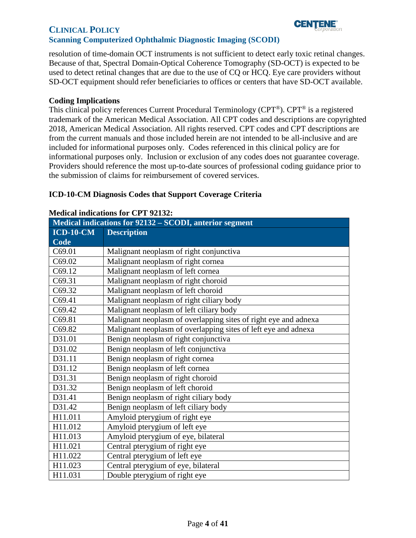

#### **Scanning Computerized Ophthalmic Diagnostic Imaging (SCODI)**

resolution of time-domain OCT instruments is not sufficient to detect early toxic retinal changes. Because of that, Spectral Domain-Optical Coherence Tomography (SD-OCT) is expected to be used to detect retinal changes that are due to the use of CQ or HCQ. Eye care providers without SD-OCT equipment should refer beneficiaries to offices or centers that have SD-OCT available.

#### <span id="page-3-0"></span>**Coding Implications**

This clinical policy references Current Procedural Terminology (CPT®). CPT® is a registered trademark of the American Medical Association. All CPT codes and descriptions are copyrighted 2018, American Medical Association. All rights reserved. CPT codes and CPT descriptions are from the current manuals and those included herein are not intended to be all-inclusive and are included for informational purposes only. Codes referenced in this clinical policy are for informational purposes only. Inclusion or exclusion of any codes does not guarantee coverage. Providers should reference the most up-to-date sources of professional coding guidance prior to the submission of claims for reimbursement of covered services.

#### **ICD-10-CM Diagnosis Codes that Support Coverage Criteria**

| Medical indications for 92132 - SCODI, anterior segment |                                                                 |
|---------------------------------------------------------|-----------------------------------------------------------------|
| $ICD-10-CM$                                             | <b>Description</b>                                              |
| Code                                                    |                                                                 |
| C69.01                                                  | Malignant neoplasm of right conjunctiva                         |
| C69.02                                                  | Malignant neoplasm of right cornea                              |
| C69.12                                                  | Malignant neoplasm of left cornea                               |
| C69.31                                                  | Malignant neoplasm of right choroid                             |
| C69.32                                                  | Malignant neoplasm of left choroid                              |
| C69.41                                                  | Malignant neoplasm of right ciliary body                        |
| C69.42                                                  | Malignant neoplasm of left ciliary body                         |
| C69.81                                                  | Malignant neoplasm of overlapping sites of right eye and adnexa |
| C69.82                                                  | Malignant neoplasm of overlapping sites of left eye and adnexa  |
| D31.01                                                  | Benign neoplasm of right conjunctiva                            |
| D31.02                                                  | Benign neoplasm of left conjunctiva                             |
| D31.11                                                  | Benign neoplasm of right cornea                                 |
| D31.12                                                  | Benign neoplasm of left cornea                                  |
| D31.31                                                  | Benign neoplasm of right choroid                                |
| D31.32                                                  | Benign neoplasm of left choroid                                 |
| D31.41                                                  | Benign neoplasm of right ciliary body                           |
| D31.42                                                  | Benign neoplasm of left ciliary body                            |
| H11.011                                                 | Amyloid pterygium of right eye                                  |
| H11.012                                                 | Amyloid pterygium of left eye                                   |
| H11.013                                                 | Amyloid pterygium of eye, bilateral                             |
| H11.021                                                 | Central pterygium of right eye                                  |
| H11.022                                                 | Central pterygium of left eye                                   |
| H11.023                                                 | Central pterygium of eye, bilateral                             |
| H11.031                                                 | Double pterygium of right eye                                   |

#### **Medical indications for CPT 92132:**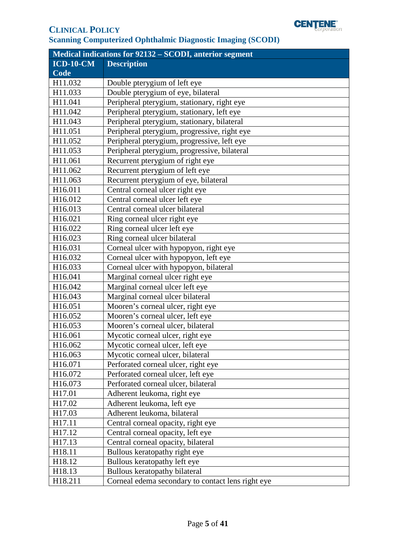

| <b>Medical indications for 92132 - SCODI, anterior segment</b> |                                                   |  |
|----------------------------------------------------------------|---------------------------------------------------|--|
| <b>ICD-10-CM</b>                                               | <b>Description</b>                                |  |
| Code                                                           |                                                   |  |
| H11.032                                                        | Double pterygium of left eye                      |  |
| H11.033                                                        | Double pterygium of eye, bilateral                |  |
| H11.041                                                        | Peripheral pterygium, stationary, right eye       |  |
| H11.042                                                        | Peripheral pterygium, stationary, left eye        |  |
| H11.043                                                        | Peripheral pterygium, stationary, bilateral       |  |
| H11.051                                                        | Peripheral pterygium, progressive, right eye      |  |
| H11.052                                                        | Peripheral pterygium, progressive, left eye       |  |
| H11.053                                                        | Peripheral pterygium, progressive, bilateral      |  |
| H11.061                                                        | Recurrent pterygium of right eye                  |  |
| H11.062                                                        | Recurrent pterygium of left eye                   |  |
| H11.063                                                        | Recurrent pterygium of eye, bilateral             |  |
| H16.011                                                        | Central corneal ulcer right eye                   |  |
| H16.012                                                        | Central corneal ulcer left eye                    |  |
| H16.013                                                        | Central corneal ulcer bilateral                   |  |
| H16.021                                                        | Ring corneal ulcer right eye                      |  |
| H16.022                                                        | Ring corneal ulcer left eye                       |  |
| H16.023                                                        | Ring corneal ulcer bilateral                      |  |
| H16.031                                                        | Corneal ulcer with hypopyon, right eye            |  |
| H16.032                                                        | Corneal ulcer with hypopyon, left eye             |  |
| H16.033                                                        | Corneal ulcer with hypopyon, bilateral            |  |
| H16.041                                                        | Marginal corneal ulcer right eye                  |  |
| H16.042                                                        | Marginal corneal ulcer left eye                   |  |
| H16.043                                                        | Marginal corneal ulcer bilateral                  |  |
| H16.051                                                        | Mooren's corneal ulcer, right eye                 |  |
| H16.052                                                        | Mooren's corneal ulcer, left eye                  |  |
| H16.053                                                        | Mooren's corneal ulcer, bilateral                 |  |
| H16.061                                                        | Mycotic corneal ulcer, right eye                  |  |
| H16.062                                                        | Mycotic corneal ulcer, left eye                   |  |
| H16.063                                                        | Mycotic corneal ulcer, bilateral                  |  |
| H <sub>16.071</sub>                                            | Perforated corneal ulcer, right eye               |  |
| H16.072                                                        | Perforated corneal ulcer, left eye                |  |
| H16.073                                                        | Perforated corneal ulcer, bilateral               |  |
| H17.01                                                         | Adherent leukoma, right eye                       |  |
| H17.02                                                         | Adherent leukoma, left eye                        |  |
| H17.03                                                         | Adherent leukoma, bilateral                       |  |
| H17.11                                                         | Central corneal opacity, right eye                |  |
| H17.12                                                         | Central corneal opacity, left eye                 |  |
| H17.13                                                         | Central corneal opacity, bilateral                |  |
| H <sub>18.11</sub>                                             | Bullous keratopathy right eye                     |  |
| H18.12                                                         | Bullous keratopathy left eye                      |  |
| H18.13                                                         | Bullous keratopathy bilateral                     |  |
| H18.211                                                        | Corneal edema secondary to contact lens right eye |  |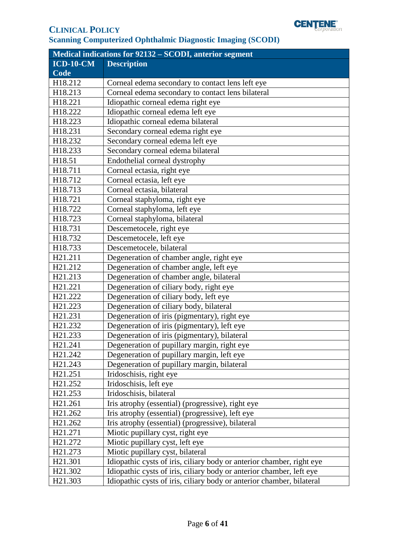

| Medical indications for 92132 - SCODI, anterior segment |                                                                       |  |
|---------------------------------------------------------|-----------------------------------------------------------------------|--|
| $ICD-10-CM$                                             | <b>Description</b>                                                    |  |
| Code                                                    |                                                                       |  |
| H18.212                                                 | Corneal edema secondary to contact lens left eye                      |  |
| H18.213                                                 | Corneal edema secondary to contact lens bilateral                     |  |
| H18.221                                                 | Idiopathic corneal edema right eye                                    |  |
| H18.222                                                 | Idiopathic corneal edema left eye                                     |  |
| H18.223                                                 | Idiopathic corneal edema bilateral                                    |  |
| H18.231                                                 | Secondary corneal edema right eye                                     |  |
| H18.232                                                 | Secondary corneal edema left eye                                      |  |
| H18.233                                                 | Secondary corneal edema bilateral                                     |  |
| H18.51                                                  | Endothelial corneal dystrophy                                         |  |
| H18.711                                                 | Corneal ectasia, right eye                                            |  |
| H18.712                                                 | Corneal ectasia, left eye                                             |  |
| H18.713                                                 | Corneal ectasia, bilateral                                            |  |
| H18.721                                                 | Corneal staphyloma, right eye                                         |  |
| H18.722                                                 | Corneal staphyloma, left eye                                          |  |
| H18.723                                                 | Corneal staphyloma, bilateral                                         |  |
| H18.731                                                 | Descemetocele, right eye                                              |  |
| H18.732                                                 | Descemetocele, left eye                                               |  |
| H18.733                                                 | Descemetocele, bilateral                                              |  |
| H21.211                                                 | Degeneration of chamber angle, right eye                              |  |
| H21.212                                                 | Degeneration of chamber angle, left eye                               |  |
| H21.213                                                 | Degeneration of chamber angle, bilateral                              |  |
| H21.221                                                 | Degeneration of ciliary body, right eye                               |  |
| H21.222                                                 | Degeneration of ciliary body, left eye                                |  |
| H21.223                                                 | Degeneration of ciliary body, bilateral                               |  |
| H21.231                                                 | Degeneration of iris (pigmentary), right eye                          |  |
| H <sub>21.232</sub>                                     | Degeneration of iris (pigmentary), left eye                           |  |
| H21.233                                                 | Degeneration of iris (pigmentary), bilateral                          |  |
| H21.241                                                 | Degeneration of pupillary margin, right eye                           |  |
| H <sub>21.242</sub>                                     | Degeneration of pupillary margin, left eye                            |  |
| H <sub>21.243</sub>                                     | Degeneration of pupillary margin, bilateral                           |  |
| H <sub>21.251</sub>                                     | Iridoschisis, right eye                                               |  |
| H21.252                                                 | Iridoschisis, left eye                                                |  |
| H <sub>21.253</sub>                                     | Iridoschisis, bilateral                                               |  |
| H <sub>21.261</sub>                                     | Iris atrophy (essential) (progressive), right eye                     |  |
| H21.262                                                 | Iris atrophy (essential) (progressive), left eye                      |  |
| H <sub>21.262</sub>                                     | Iris atrophy (essential) (progressive), bilateral                     |  |
| H21.271                                                 | Miotic pupillary cyst, right eye                                      |  |
| H21.272                                                 | Miotic pupillary cyst, left eye                                       |  |
| H <sub>21.273</sub>                                     | Miotic pupillary cyst, bilateral                                      |  |
| H <sub>21.301</sub>                                     | Idiopathic cysts of iris, ciliary body or anterior chamber, right eye |  |
| H <sub>21.302</sub>                                     | Idiopathic cysts of iris, ciliary body or anterior chamber, left eye  |  |
| H <sub>21.303</sub>                                     | Idiopathic cysts of iris, ciliary body or anterior chamber, bilateral |  |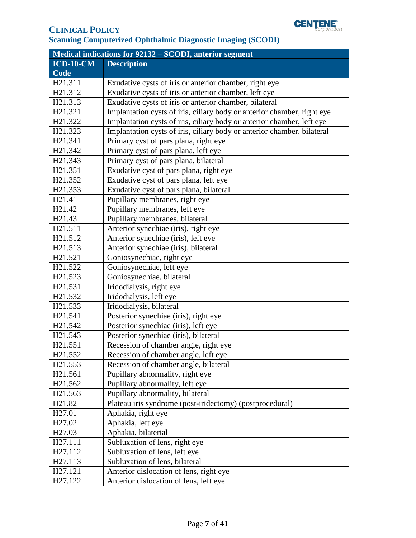

| <b>Medical indications for 92132 - SCODI, anterior segment</b> |                                                                         |  |
|----------------------------------------------------------------|-------------------------------------------------------------------------|--|
| $ICD-10-CM$                                                    | <b>Description</b>                                                      |  |
| <b>Code</b>                                                    |                                                                         |  |
| H21.311                                                        | Exudative cysts of iris or anterior chamber, right eye                  |  |
| H21.312                                                        | Exudative cysts of iris or anterior chamber, left eye                   |  |
| H21.313                                                        | Exudative cysts of iris or anterior chamber, bilateral                  |  |
| H21.321                                                        | Implantation cysts of iris, ciliary body or anterior chamber, right eye |  |
| H21.322                                                        | Implantation cysts of iris, ciliary body or anterior chamber, left eye  |  |
| H21.323                                                        | Implantation cysts of iris, ciliary body or anterior chamber, bilateral |  |
| H21.341                                                        | Primary cyst of pars plana, right eye                                   |  |
| H21.342                                                        | Primary cyst of pars plana, left eye                                    |  |
| H <sub>21.343</sub>                                            | Primary cyst of pars plana, bilateral                                   |  |
| H <sub>21.351</sub>                                            | Exudative cyst of pars plana, right eye                                 |  |
| H21.352                                                        | Exudative cyst of pars plana, left eye                                  |  |
| H21.353                                                        | Exudative cyst of pars plana, bilateral                                 |  |
| H <sub>21.41</sub>                                             | Pupillary membranes, right eye                                          |  |
| H <sub>21.42</sub>                                             | Pupillary membranes, left eye                                           |  |
| H <sub>21.43</sub>                                             | Pupillary membranes, bilateral                                          |  |
| H21.511                                                        | Anterior synechiae (iris), right eye                                    |  |
| H21.512                                                        | Anterior synechiae (iris), left eye                                     |  |
| H21.513                                                        | Anterior synechiae (iris), bilateral                                    |  |
| H21.521                                                        | Goniosynechiae, right eye                                               |  |
| H21.522                                                        | Goniosynechiae, left eye                                                |  |
| H21.523                                                        | Goniosynechiae, bilateral                                               |  |
| H21.531                                                        | Iridodialysis, right eye                                                |  |
| H21.532                                                        | Iridodialysis, left eye                                                 |  |
| H21.533                                                        | Iridodialysis, bilateral                                                |  |
| H21.541                                                        | Posterior synechiae (iris), right eye                                   |  |
| H <sub>21.542</sub>                                            | Posterior synechiae (iris), left eye                                    |  |
| H <sub>21.543</sub>                                            | Posterior synechiae (iris), bilateral                                   |  |
| H21.551                                                        | Recession of chamber angle, right eye                                   |  |
| H21.552                                                        | Recession of chamber angle, left eye                                    |  |
| H <sub>21.553</sub>                                            | Recession of chamber angle, bilateral                                   |  |
| H <sub>21.561</sub>                                            | Pupillary abnormality, right eye                                        |  |
| H21.562                                                        | Pupillary abnormality, left eye                                         |  |
| H <sub>21.563</sub>                                            | Pupillary abnormality, bilateral                                        |  |
| H <sub>21.82</sub>                                             | Plateau iris syndrome (post-iridectomy) (postprocedural)                |  |
| H <sub>27.01</sub>                                             | Aphakia, right eye                                                      |  |
| H <sub>27.02</sub>                                             | Aphakia, left eye                                                       |  |
| H <sub>27.03</sub>                                             | Aphakia, bilaterial                                                     |  |
| H27.111                                                        | Subluxation of lens, right eye                                          |  |
| H <sub>27.112</sub>                                            | Subluxation of lens, left eye                                           |  |
| H <sub>27.113</sub>                                            | Subluxation of lens, bilateral                                          |  |
| H <sub>27.121</sub>                                            | Anterior dislocation of lens, right eye                                 |  |
| H27.122                                                        | Anterior dislocation of lens, left eye                                  |  |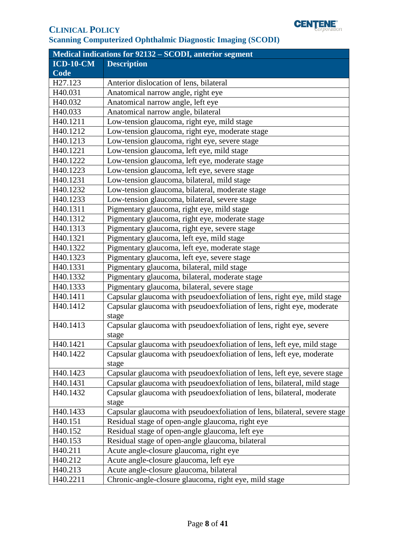

| Medical indications for 92132 - SCODI, anterior segment |                                                                           |  |
|---------------------------------------------------------|---------------------------------------------------------------------------|--|
| $ICD-10-CM$                                             | <b>Description</b>                                                        |  |
| Code                                                    |                                                                           |  |
| H27.123                                                 | Anterior dislocation of lens, bilateral                                   |  |
| H40.031                                                 | Anatomical narrow angle, right eye                                        |  |
| H40.032                                                 | Anatomical narrow angle, left eye                                         |  |
| H40.033                                                 | Anatomical narrow angle, bilateral                                        |  |
| H40.1211                                                | Low-tension glaucoma, right eye, mild stage                               |  |
| H40.1212                                                | Low-tension glaucoma, right eye, moderate stage                           |  |
| H40.1213                                                | Low-tension glaucoma, right eye, severe stage                             |  |
| H40.1221                                                | Low-tension glaucoma, left eye, mild stage                                |  |
| H40.1222                                                | Low-tension glaucoma, left eye, moderate stage                            |  |
| H40.1223                                                | Low-tension glaucoma, left eye, severe stage                              |  |
| H40.1231                                                | Low-tension glaucoma, bilateral, mild stage                               |  |
| H40.1232                                                | Low-tension glaucoma, bilateral, moderate stage                           |  |
| H40.1233                                                | Low-tension glaucoma, bilateral, severe stage                             |  |
| H40.1311                                                | Pigmentary glaucoma, right eye, mild stage                                |  |
| H40.1312                                                | Pigmentary glaucoma, right eye, moderate stage                            |  |
| H40.1313                                                | Pigmentary glaucoma, right eye, severe stage                              |  |
| H40.1321                                                | Pigmentary glaucoma, left eye, mild stage                                 |  |
| H40.1322                                                | Pigmentary glaucoma, left eye, moderate stage                             |  |
| H40.1323                                                | Pigmentary glaucoma, left eye, severe stage                               |  |
| H40.1331                                                | Pigmentary glaucoma, bilateral, mild stage                                |  |
| H40.1332                                                | Pigmentary glaucoma, bilateral, moderate stage                            |  |
| H40.1333                                                | Pigmentary glaucoma, bilateral, severe stage                              |  |
| H40.1411                                                | Capsular glaucoma with pseudoexfoliation of lens, right eye, mild stage   |  |
| H40.1412                                                | Capsular glaucoma with pseudoexfoliation of lens, right eye, moderate     |  |
|                                                         | stage                                                                     |  |
| H40.1413                                                | Capsular glaucoma with pseudoexfoliation of lens, right eye, severe       |  |
|                                                         | stage                                                                     |  |
| H40.1421                                                | Capsular glaucoma with pseudoexfoliation of lens, left eye, mild stage    |  |
| H40.1422                                                | Capsular glaucoma with pseudoexfoliation of lens, left eye, moderate      |  |
|                                                         | stage                                                                     |  |
| H40.1423                                                | Capsular glaucoma with pseudoexfoliation of lens, left eye, severe stage  |  |
| H40.1431                                                | Capsular glaucoma with pseudoexfoliation of lens, bilateral, mild stage   |  |
| H40.1432                                                | Capsular glaucoma with pseudoexfoliation of lens, bilateral, moderate     |  |
|                                                         | stage                                                                     |  |
| H40.1433                                                | Capsular glaucoma with pseudoexfoliation of lens, bilateral, severe stage |  |
| H <sub>40.151</sub>                                     | Residual stage of open-angle glaucoma, right eye                          |  |
| H <sub>40.152</sub>                                     | Residual stage of open-angle glaucoma, left eye                           |  |
| H40.153                                                 | Residual stage of open-angle glaucoma, bilateral                          |  |
| H <sub>40.211</sub>                                     | Acute angle-closure glaucoma, right eye                                   |  |
| H40.212                                                 | Acute angle-closure glaucoma, left eye                                    |  |
| H40.213                                                 | Acute angle-closure glaucoma, bilateral                                   |  |
| H40.2211                                                | Chronic-angle-closure glaucoma, right eye, mild stage                     |  |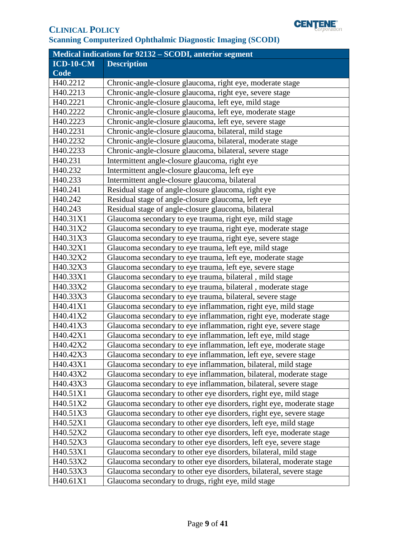

| Medical indications for 92132 - SCODI, anterior segment |                                                                      |  |
|---------------------------------------------------------|----------------------------------------------------------------------|--|
| $ICD-10-CM$                                             | <b>Description</b>                                                   |  |
| Code                                                    |                                                                      |  |
| H40.2212                                                | Chronic-angle-closure glaucoma, right eye, moderate stage            |  |
| H40.2213                                                | Chronic-angle-closure glaucoma, right eye, severe stage              |  |
| H40.2221                                                | Chronic-angle-closure glaucoma, left eye, mild stage                 |  |
| H40.2222                                                | Chronic-angle-closure glaucoma, left eye, moderate stage             |  |
| H40.2223                                                | Chronic-angle-closure glaucoma, left eye, severe stage               |  |
| H40.2231                                                | Chronic-angle-closure glaucoma, bilateral, mild stage                |  |
| H40.2232                                                | Chronic-angle-closure glaucoma, bilateral, moderate stage            |  |
| H40.2233                                                | Chronic-angle-closure glaucoma, bilateral, severe stage              |  |
| H40.231                                                 | Intermittent angle-closure glaucoma, right eye                       |  |
| H40.232                                                 | Intermittent angle-closure glaucoma, left eye                        |  |
| H40.233                                                 | Intermittent angle-closure glaucoma, bilateral                       |  |
| H40.241                                                 | Residual stage of angle-closure glaucoma, right eye                  |  |
| H40.242                                                 | Residual stage of angle-closure glaucoma, left eye                   |  |
| H40.243                                                 | Residual stage of angle-closure glaucoma, bilateral                  |  |
| H40.31X1                                                | Glaucoma secondary to eye trauma, right eye, mild stage              |  |
| H40.31X2                                                | Glaucoma secondary to eye trauma, right eye, moderate stage          |  |
| H40.31X3                                                | Glaucoma secondary to eye trauma, right eye, severe stage            |  |
| H40.32X1                                                | Glaucoma secondary to eye trauma, left eye, mild stage               |  |
| H40.32X2                                                | Glaucoma secondary to eye trauma, left eye, moderate stage           |  |
| H40.32X3                                                | Glaucoma secondary to eye trauma, left eye, severe stage             |  |
| H40.33X1                                                | Glaucoma secondary to eye trauma, bilateral, mild stage              |  |
| H40.33X2                                                | Glaucoma secondary to eye trauma, bilateral, moderate stage          |  |
| H40.33X3                                                | Glaucoma secondary to eye trauma, bilateral, severe stage            |  |
| H40.41X1                                                | Glaucoma secondary to eye inflammation, right eye, mild stage        |  |
| H40.41X2                                                | Glaucoma secondary to eye inflammation, right eye, moderate stage    |  |
| H40.41X3                                                | Glaucoma secondary to eye inflammation, right eye, severe stage      |  |
| H40.42X1                                                | Glaucoma secondary to eye inflammation, left eye, mild stage         |  |
| H40.42X2                                                | Glaucoma secondary to eye inflammation, left eye, moderate stage     |  |
| H40.42X3                                                | Glaucoma secondary to eye inflammation, left eye, severe stage       |  |
| H40.43X1                                                | Glaucoma secondary to eye inflammation, bilateral, mild stage        |  |
| H40.43X2                                                | Glaucoma secondary to eye inflammation, bilateral, moderate stage    |  |
| H40.43X3                                                | Glaucoma secondary to eye inflammation, bilateral, severe stage      |  |
| H40.51X1                                                | Glaucoma secondary to other eye disorders, right eye, mild stage     |  |
| H40.51X2                                                | Glaucoma secondary to other eye disorders, right eye, moderate stage |  |
| H40.51X3                                                | Glaucoma secondary to other eye disorders, right eye, severe stage   |  |
| H40.52X1                                                | Glaucoma secondary to other eye disorders, left eye, mild stage      |  |
| H40.52X2                                                | Glaucoma secondary to other eye disorders, left eye, moderate stage  |  |
| H40.52X3                                                | Glaucoma secondary to other eye disorders, left eye, severe stage    |  |
| H40.53X1                                                | Glaucoma secondary to other eye disorders, bilateral, mild stage     |  |
| H40.53X2                                                | Glaucoma secondary to other eye disorders, bilateral, moderate stage |  |
| H40.53X3                                                | Glaucoma secondary to other eye disorders, bilateral, severe stage   |  |
| H40.61X1                                                | Glaucoma secondary to drugs, right eye, mild stage                   |  |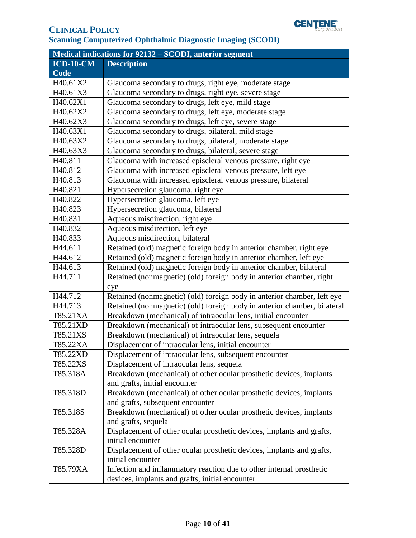

| Medical indications for 92132 - SCODI, anterior segment |                                                                          |  |
|---------------------------------------------------------|--------------------------------------------------------------------------|--|
| $ICD-10-CM$                                             | <b>Description</b>                                                       |  |
| Code                                                    |                                                                          |  |
| H40.61X2                                                | Glaucoma secondary to drugs, right eye, moderate stage                   |  |
| H40.61X3                                                | Glaucoma secondary to drugs, right eye, severe stage                     |  |
| H40.62X1                                                | Glaucoma secondary to drugs, left eye, mild stage                        |  |
| H40.62X2                                                | Glaucoma secondary to drugs, left eye, moderate stage                    |  |
| H40.62X3                                                | Glaucoma secondary to drugs, left eye, severe stage                      |  |
| H40.63X1                                                | Glaucoma secondary to drugs, bilateral, mild stage                       |  |
| H40.63X2                                                | Glaucoma secondary to drugs, bilateral, moderate stage                   |  |
| H40.63X3                                                | Glaucoma secondary to drugs, bilateral, severe stage                     |  |
| H40.811                                                 | Glaucoma with increased episcleral venous pressure, right eye            |  |
| H <sub>40.812</sub>                                     | Glaucoma with increased episcleral venous pressure, left eye             |  |
| H40.813                                                 | Glaucoma with increased episcleral venous pressure, bilateral            |  |
| H <sub>40.821</sub>                                     | Hypersecretion glaucoma, right eye                                       |  |
| H40.822                                                 | Hypersecretion glaucoma, left eye                                        |  |
| H40.823                                                 | Hypersecretion glaucoma, bilateral                                       |  |
| H <sub>40.831</sub>                                     | Aqueous misdirection, right eye                                          |  |
| H40.832                                                 | Aqueous misdirection, left eye                                           |  |
| H40.833                                                 | Aqueous misdirection, bilateral                                          |  |
| H44.611                                                 | Retained (old) magnetic foreign body in anterior chamber, right eye      |  |
| H44.612                                                 | Retained (old) magnetic foreign body in anterior chamber, left eye       |  |
| H44.613                                                 | Retained (old) magnetic foreign body in anterior chamber, bilateral      |  |
| H44.711                                                 | Retained (nonmagnetic) (old) foreign body in anterior chamber, right     |  |
|                                                         | eye                                                                      |  |
| H44.712                                                 | Retained (nonmagnetic) (old) foreign body in anterior chamber, left eye  |  |
| H44.713                                                 | Retained (nonmagnetic) (old) foreign body in anterior chamber, bilateral |  |
| T85.21XA                                                | Breakdown (mechanical) of intraocular lens, initial encounter            |  |
| T85.21XD                                                | Breakdown (mechanical) of intraocular lens, subsequent encounter         |  |
| T85.21XS                                                | Breakdown (mechanical) of intraocular lens, sequela                      |  |
| T85.22XA                                                | Displacement of intraocular lens, initial encounter                      |  |
| T85.22XD                                                | Displacement of intraocular lens, subsequent encounter                   |  |
| T85.22XS                                                | Displacement of intraocular lens, sequela                                |  |
| T85.318A                                                | Breakdown (mechanical) of other ocular prosthetic devices, implants      |  |
|                                                         | and grafts, initial encounter                                            |  |
| T85.318D                                                | Breakdown (mechanical) of other ocular prosthetic devices, implants      |  |
|                                                         | and grafts, subsequent encounter                                         |  |
| T85.318S                                                | Breakdown (mechanical) of other ocular prosthetic devices, implants      |  |
|                                                         | and grafts, sequela                                                      |  |
| T85.328A                                                | Displacement of other ocular prosthetic devices, implants and grafts,    |  |
|                                                         | initial encounter                                                        |  |
| T85.328D                                                | Displacement of other ocular prosthetic devices, implants and grafts,    |  |
|                                                         | initial encounter                                                        |  |
| T85.79XA                                                | Infection and inflammatory reaction due to other internal prosthetic     |  |
|                                                         | devices, implants and grafts, initial encounter                          |  |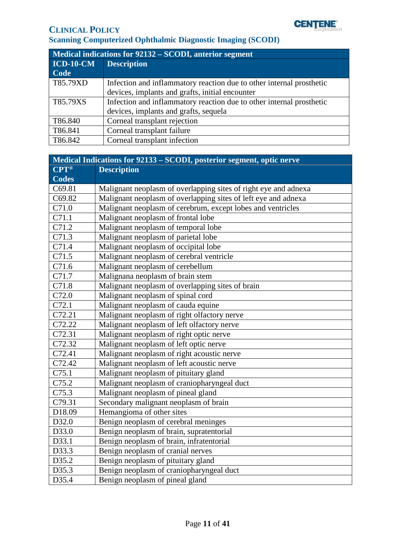

| Medical indications for 92132 – SCODI, anterior segment |                                                                      |
|---------------------------------------------------------|----------------------------------------------------------------------|
| <b>ICD-10-CM</b>                                        | <b>Description</b>                                                   |
| Code                                                    |                                                                      |
| T85.79XD                                                | Infection and inflammatory reaction due to other internal prosthetic |
|                                                         | devices, implants and grafts, initial encounter                      |
| T85.79XS                                                | Infection and inflammatory reaction due to other internal prosthetic |
|                                                         | devices, implants and grafts, sequela                                |
| T86.840                                                 | Corneal transplant rejection                                         |
| T86.841                                                 | Corneal transplant failure                                           |
| T86.842                                                 | Corneal transplant infection                                         |

| Medical Indications for 92133 – SCODI, posterior segment, optic nerve |                                                                 |  |
|-----------------------------------------------------------------------|-----------------------------------------------------------------|--|
| <b>CPT®</b>                                                           | <b>Description</b>                                              |  |
| <b>Codes</b>                                                          |                                                                 |  |
| C69.81                                                                | Malignant neoplasm of overlapping sites of right eye and adnexa |  |
| C69.82                                                                | Malignant neoplasm of overlapping sites of left eye and adnexa  |  |
| C71.0                                                                 | Malignant neoplasm of cerebrum, except lobes and ventricles     |  |
| C71.1                                                                 | Malignant neoplasm of frontal lobe                              |  |
| C71.2                                                                 | Malignant neoplasm of temporal lobe                             |  |
| C71.3                                                                 | Malignant neoplasm of parietal lobe                             |  |
| C71.4                                                                 | Malignant neoplasm of occipital lobe                            |  |
| C71.5                                                                 | Malignant neoplasm of cerebral ventricle                        |  |
| C71.6                                                                 | Malignant neoplasm of cerebellum                                |  |
| C71.7                                                                 | Malignana neoplasm of brain stem                                |  |
| C71.8                                                                 | Malignant neoplasm of overlapping sites of brain                |  |
| C72.0                                                                 | Malignant neoplasm of spinal cord                               |  |
| C72.1                                                                 | Malignant neoplasm of cauda equine                              |  |
| C72.21                                                                | Malignant neoplasm of right olfactory nerve                     |  |
| C72.22                                                                | Malignant neoplasm of left olfactory nerve                      |  |
| C72.31                                                                | Malignant neoplasm of right optic nerve                         |  |
| C72.32                                                                | Malignant neoplasm of left optic nerve                          |  |
| C72.41                                                                | Malignant neoplasm of right acoustic nerve                      |  |
| C72.42                                                                | Malignant neoplasm of left acoustic nerve                       |  |
| C75.1                                                                 | Malignant neoplasm of pituitary gland                           |  |
| C75.2                                                                 | Malignant neoplasm of craniopharyngeal duct                     |  |
| C75.3                                                                 | Malignant neoplasm of pineal gland                              |  |
| C79.31                                                                | Secondary malignant neoplasm of brain                           |  |
| D18.09                                                                | Hemangioma of other sites                                       |  |
| D32.0                                                                 | Benign neoplasm of cerebral meninges                            |  |
| D33.0                                                                 | Benign neoplasm of brain, supratentorial                        |  |
| D33.1                                                                 | Benign neoplasm of brain, infratentorial                        |  |
| D33.3                                                                 | Benign neoplasm of cranial nerves                               |  |
| D35.2                                                                 | Benign neoplasm of pituitary gland                              |  |
| D35.3                                                                 | Benign neoplasm of craniopharyngeal duct                        |  |
| D35.4                                                                 | Benign neoplasm of pineal gland                                 |  |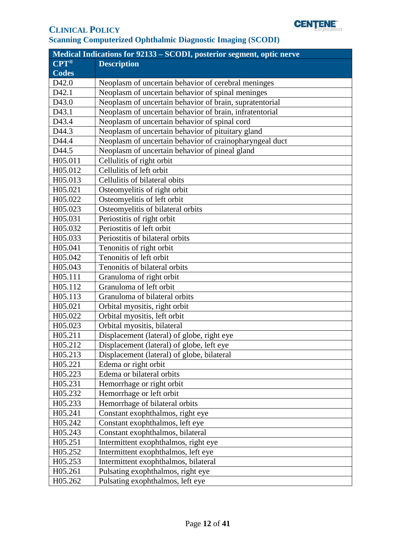

| Medical Indications for 92133 - SCODI, posterior segment, optic nerve |                                                         |  |
|-----------------------------------------------------------------------|---------------------------------------------------------|--|
| <b>CPT®</b>                                                           | <b>Description</b>                                      |  |
| <b>Codes</b>                                                          |                                                         |  |
| D42.0                                                                 | Neoplasm of uncertain behavior of cerebral meninges     |  |
| D42.1                                                                 | Neoplasm of uncertain behavior of spinal meninges       |  |
| D43.0                                                                 | Neoplasm of uncertain behavior of brain, supratentorial |  |
| D43.1                                                                 | Neoplasm of uncertain behavior of brain, infratentorial |  |
| D43.4                                                                 | Neoplasm of uncertain behavior of spinal cord           |  |
| D44.3                                                                 | Neoplasm of uncertain behavior of pituitary gland       |  |
| D44.4                                                                 | Neoplasm of uncertain behavior of crainopharyngeal duct |  |
| D44.5                                                                 | Neoplasm of uncertain behavior of pineal gland          |  |
| H05.011                                                               | Cellulitis of right orbit                               |  |
| H05.012                                                               | Cellulitis of left orbit                                |  |
| H05.013                                                               | Cellulitis of bilateral obits                           |  |
| H05.021                                                               | Osteomyelitis of right orbit                            |  |
| H05.022                                                               | Osteomyelitis of left orbit                             |  |
| H05.023                                                               | Osteomyelitis of bilateral orbits                       |  |
| H05.031                                                               | Periostitis of right orbit                              |  |
| H05.032                                                               | Periostitis of left orbit                               |  |
| H05.033                                                               | Periostitis of bilateral orbits                         |  |
| H05.041                                                               | Tenonitis of right orbit                                |  |
| H05.042                                                               | Tenonitis of left orbit                                 |  |
| H05.043                                                               | Tenonitis of bilateral orbits                           |  |
| H05.111                                                               | Granuloma of right orbit                                |  |
| H05.112                                                               | Granuloma of left orbit                                 |  |
| H05.113                                                               | Granuloma of bilateral orbits                           |  |
| H05.021                                                               | Orbital myositis, right orbit                           |  |
| H05.022                                                               | Orbital myositis, left orbit                            |  |
| H05.023                                                               | Orbital myositis, bilateral                             |  |
| H05.211                                                               | Displacement (lateral) of globe, right eye              |  |
| H05.212                                                               | Displacement (lateral) of globe, left eye               |  |
| H05.213                                                               | Displacement (lateral) of globe, bilateral              |  |
| H05.221                                                               | Edema or right orbit                                    |  |
| H05.223                                                               | Edema or bilateral orbits                               |  |
| H05.231                                                               | Hemorrhage or right orbit                               |  |
| H05.232                                                               | Hemorrhage or left orbit                                |  |
| H05.233                                                               | Hemorrhage of bilateral orbits                          |  |
| H05.241                                                               | Constant exophthalmos, right eye                        |  |
| H05.242                                                               | Constant exophthalmos, left eye                         |  |
| H05.243                                                               | Constant exophthalmos, bilateral                        |  |
| H05.251                                                               | Intermittent exophthalmos, right eye                    |  |
| H05.252                                                               | Intermittent exophthalmos, left eye                     |  |
| H05.253                                                               | Intermittent exophthalmos, bilateral                    |  |
| H05.261                                                               | Pulsating exophthalmos, right eye                       |  |
| H05.262                                                               | Pulsating exophthalmos, left eye                        |  |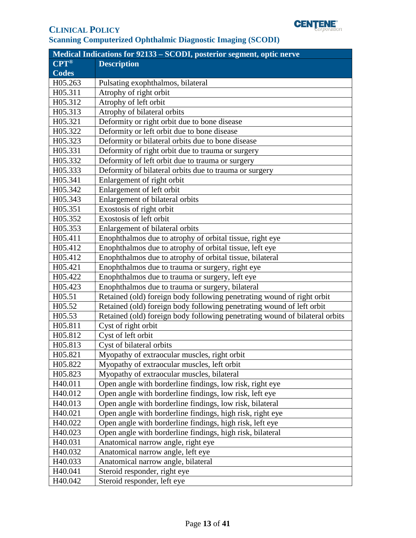

| Medical Indications for 92133 – SCODI, posterior segment, optic nerve |                                                                             |  |
|-----------------------------------------------------------------------|-----------------------------------------------------------------------------|--|
| $\overline{\mathbf{CPT}^{\otimes}}$                                   | <b>Description</b>                                                          |  |
| <b>Codes</b>                                                          |                                                                             |  |
| H05.263                                                               | Pulsating exophthalmos, bilateral                                           |  |
| H05.311                                                               | Atrophy of right orbit                                                      |  |
| H05.312                                                               | Atrophy of left orbit                                                       |  |
| H05.313                                                               | Atrophy of bilateral orbits                                                 |  |
| H05.321                                                               | Deformity or right orbit due to bone disease                                |  |
| H05.322                                                               | Deformity or left orbit due to bone disease                                 |  |
| H05.323                                                               | Deformity or bilateral orbits due to bone disease                           |  |
| H05.331                                                               | Deformity of right orbit due to trauma or surgery                           |  |
| H05.332                                                               | Deformity of left orbit due to trauma or surgery                            |  |
| H05.333                                                               | Deformity of bilateral orbits due to trauma or surgery                      |  |
| H05.341                                                               | Enlargement of right orbit                                                  |  |
| H05.342                                                               | Enlargement of left orbit                                                   |  |
| H05.343                                                               | Enlargement of bilateral orbits                                             |  |
| H05.351                                                               | Exostosis of right orbit                                                    |  |
| H05.352                                                               | Exostosis of left orbit                                                     |  |
| H05.353                                                               | Enlargement of bilateral orbits                                             |  |
| H05.411                                                               | Enophthalmos due to atrophy of orbital tissue, right eye                    |  |
| H05.412                                                               | Enophthalmos due to atrophy of orbital tissue, left eye                     |  |
| H05.412                                                               | Enophthalmos due to atrophy of orbital tissue, bilateral                    |  |
| H05.421                                                               | Enophthalmos due to trauma or surgery, right eye                            |  |
| H05.422                                                               | Enophthalmos due to trauma or surgery, left eye                             |  |
| H05.423                                                               | Enophthalmos due to trauma or surgery, bilateral                            |  |
| H05.51                                                                | Retained (old) foreign body following penetrating wound of right orbit      |  |
| H05.52                                                                | Retained (old) foreign body following penetrating wound of left orbit       |  |
| H05.53                                                                | Retained (old) foreign body following penetrating wound of bilateral orbits |  |
| H05.811                                                               | Cyst of right orbit                                                         |  |
| H05.812                                                               | Cyst of left orbit                                                          |  |
| H05.813                                                               | Cyst of bilateral orbits                                                    |  |
| H05.821                                                               | Myopathy of extraocular muscles, right orbit                                |  |
| H05.822                                                               | Myopathy of extraocular muscles, left orbit                                 |  |
| H05.823                                                               | Myopathy of extraocular muscles, bilateral                                  |  |
| H40.011                                                               | Open angle with borderline findings, low risk, right eye                    |  |
| H40.012                                                               | Open angle with borderline findings, low risk, left eye                     |  |
| H40.013                                                               | Open angle with borderline findings, low risk, bilateral                    |  |
| H40.021                                                               | Open angle with borderline findings, high risk, right eye                   |  |
| H40.022                                                               | Open angle with borderline findings, high risk, left eye                    |  |
| H40.023                                                               | Open angle with borderline findings, high risk, bilateral                   |  |
| H40.031                                                               | Anatomical narrow angle, right eye                                          |  |
| H40.032                                                               | Anatomical narrow angle, left eye                                           |  |
| H40.033                                                               | Anatomical narrow angle, bilateral                                          |  |
| H40.041                                                               | Steroid responder, right eye                                                |  |
| H40.042                                                               | Steroid responder, left eye                                                 |  |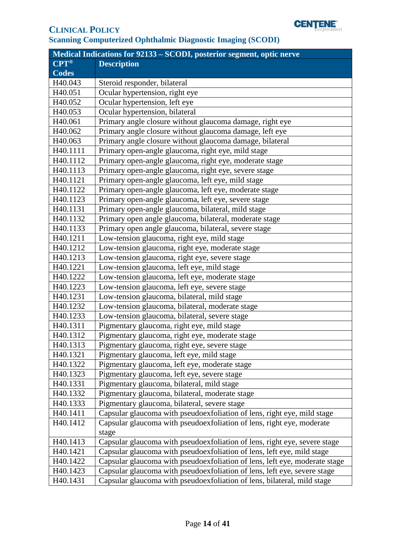

| <b>Medical Indications for 92133 - SCODI, posterior segment, optic nerve</b> |                                                                            |  |
|------------------------------------------------------------------------------|----------------------------------------------------------------------------|--|
| <b>CPT®</b>                                                                  | <b>Description</b>                                                         |  |
| <b>Codes</b>                                                                 |                                                                            |  |
| H40.043                                                                      | Steroid responder, bilateral                                               |  |
| H40.051                                                                      | Ocular hypertension, right eye                                             |  |
| H40.052                                                                      | Ocular hypertension, left eye                                              |  |
| H40.053                                                                      | Ocular hypertension, bilateral                                             |  |
| H40.061                                                                      | Primary angle closure without glaucoma damage, right eye                   |  |
| H40.062                                                                      | Primary angle closure without glaucoma damage, left eye                    |  |
| H40.063                                                                      | Primary angle closure without glaucoma damage, bilateral                   |  |
| H40.1111                                                                     | Primary open-angle glaucoma, right eye, mild stage                         |  |
| H40.1112                                                                     | Primary open-angle glaucoma, right eye, moderate stage                     |  |
| H40.1113                                                                     | Primary open-angle glaucoma, right eye, severe stage                       |  |
| H40.1121                                                                     | Primary open-angle glaucoma, left eye, mild stage                          |  |
| H40.1122                                                                     | Primary open-angle glaucoma, left eye, moderate stage                      |  |
| H40.1123                                                                     | Primary open-angle glaucoma, left eye, severe stage                        |  |
| H40.1131                                                                     | Primary open-angle glaucoma, bilateral, mild stage                         |  |
| H40.1132                                                                     | Primary open angle glaucoma, bilateral, moderate stage                     |  |
| H40.1133                                                                     | Primary open angle glaucoma, bilateral, severe stage                       |  |
| H40.1211                                                                     | Low-tension glaucoma, right eye, mild stage                                |  |
| H40.1212                                                                     | Low-tension glaucoma, right eye, moderate stage                            |  |
| H40.1213                                                                     | Low-tension glaucoma, right eye, severe stage                              |  |
| H40.1221                                                                     | Low-tension glaucoma, left eye, mild stage                                 |  |
| H40.1222                                                                     | Low-tension glaucoma, left eye, moderate stage                             |  |
| H40.1223                                                                     | Low-tension glaucoma, left eye, severe stage                               |  |
| H40.1231                                                                     | Low-tension glaucoma, bilateral, mild stage                                |  |
| H40.1232                                                                     | Low-tension glaucoma, bilateral, moderate stage                            |  |
| H40.1233                                                                     | Low-tension glaucoma, bilateral, severe stage                              |  |
| H40.1311                                                                     | Pigmentary glaucoma, right eye, mild stage                                 |  |
| H40.1312                                                                     | Pigmentary glaucoma, right eye, moderate stage                             |  |
| H40.1313                                                                     | Pigmentary glaucoma, right eye, severe stage                               |  |
| H40.1321                                                                     | Pigmentary glaucoma, left eye, mild stage                                  |  |
| H40.1322                                                                     | Pigmentary glaucoma, left eye, moderate stage                              |  |
| H40.1323                                                                     | Pigmentary glaucoma, left eye, severe stage                                |  |
| H40.1331                                                                     | Pigmentary glaucoma, bilateral, mild stage                                 |  |
| H40.1332                                                                     | Pigmentary glaucoma, bilateral, moderate stage                             |  |
| H40.1333                                                                     | Pigmentary glaucoma, bilateral, severe stage                               |  |
| H40.1411                                                                     | Capsular glaucoma with pseudoexfoliation of lens, right eye, mild stage    |  |
| H40.1412                                                                     | Capsular glaucoma with pseudoexfoliation of lens, right eye, moderate      |  |
|                                                                              | stage                                                                      |  |
| H40.1413                                                                     | Capsular glaucoma with pseudoexfoliation of lens, right eye, severe stage  |  |
| H40.1421                                                                     | Capsular glaucoma with pseudoexfoliation of lens, left eye, mild stage     |  |
| H40.1422                                                                     | Capsular glaucoma with pseudoexfoliation of lens, left eye, moderate stage |  |
| H40.1423                                                                     | Capsular glaucoma with pseudoexfoliation of lens, left eye, severe stage   |  |
| H40.1431                                                                     | Capsular glaucoma with pseudoexfoliation of lens, bilateral, mild stage    |  |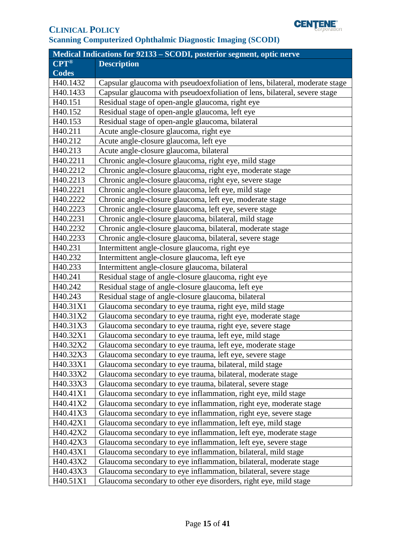

| <b>Medical Indications for 92133 - SCODI, posterior segment, optic nerve</b> |                                                                             |  |
|------------------------------------------------------------------------------|-----------------------------------------------------------------------------|--|
| <b>CPT®</b>                                                                  | <b>Description</b>                                                          |  |
| <b>Codes</b>                                                                 |                                                                             |  |
| H40.1432                                                                     | Capsular glaucoma with pseudoexfoliation of lens, bilateral, moderate stage |  |
| H40.1433                                                                     | Capsular glaucoma with pseudoexfoliation of lens, bilateral, severe stage   |  |
| H40.151                                                                      | Residual stage of open-angle glaucoma, right eye                            |  |
| H40.152                                                                      | Residual stage of open-angle glaucoma, left eye                             |  |
| H40.153                                                                      | Residual stage of open-angle glaucoma, bilateral                            |  |
| H40.211                                                                      | Acute angle-closure glaucoma, right eye                                     |  |
| H40.212                                                                      | Acute angle-closure glaucoma, left eye                                      |  |
| H40.213                                                                      | Acute angle-closure glaucoma, bilateral                                     |  |
| H40.2211                                                                     | Chronic angle-closure glaucoma, right eye, mild stage                       |  |
| H40.2212                                                                     | Chronic angle-closure glaucoma, right eye, moderate stage                   |  |
| H40.2213                                                                     | Chronic angle-closure glaucoma, right eye, severe stage                     |  |
| H40.2221                                                                     | Chronic angle-closure glaucoma, left eye, mild stage                        |  |
| H40.2222                                                                     | Chronic angle-closure glaucoma, left eye, moderate stage                    |  |
| H40.2223                                                                     | Chronic angle-closure glaucoma, left eye, severe stage                      |  |
| H40.2231                                                                     | Chronic angle-closure glaucoma, bilateral, mild stage                       |  |
| H40.2232                                                                     | Chronic angle-closure glaucoma, bilateral, moderate stage                   |  |
| H40.2233                                                                     | Chronic angle-closure glaucoma, bilateral, severe stage                     |  |
| H40.231                                                                      | Intermittent angle-closure glaucoma, right eye                              |  |
| H40.232                                                                      | Intermittent angle-closure glaucoma, left eye                               |  |
| H40.233                                                                      | Intermittent angle-closure glaucoma, bilateral                              |  |
| H40.241                                                                      | Residual stage of angle-closure glaucoma, right eye                         |  |
| H40.242                                                                      | Residual stage of angle-closure glaucoma, left eye                          |  |
| H40.243                                                                      | Residual stage of angle-closure glaucoma, bilateral                         |  |
| H40.31X1                                                                     | Glaucoma secondary to eye trauma, right eye, mild stage                     |  |
| H40.31X2                                                                     | Glaucoma secondary to eye trauma, right eye, moderate stage                 |  |
| H40.31X3                                                                     | Glaucoma secondary to eye trauma, right eye, severe stage                   |  |
| H40.32X1                                                                     | Glaucoma secondary to eye trauma, left eye, mild stage                      |  |
| H40.32X2                                                                     | Glaucoma secondary to eye trauma, left eye, moderate stage                  |  |
| H40.32X3                                                                     | Glaucoma secondary to eye trauma, left eye, severe stage                    |  |
| H40.33X1                                                                     | Glaucoma secondary to eye trauma, bilateral, mild stage                     |  |
| H40.33X2                                                                     | Glaucoma secondary to eye trauma, bilateral, moderate stage                 |  |
| H40.33X3                                                                     | Glaucoma secondary to eye trauma, bilateral, severe stage                   |  |
| H40.41X1                                                                     | Glaucoma secondary to eye inflammation, right eye, mild stage               |  |
| H40.41X2                                                                     | Glaucoma secondary to eye inflammation, right eye, moderate stage           |  |
| H40.41X3                                                                     | Glaucoma secondary to eye inflammation, right eye, severe stage             |  |
| H40.42X1                                                                     | Glaucoma secondary to eye inflammation, left eye, mild stage                |  |
| H40.42X2                                                                     | Glaucoma secondary to eye inflammation, left eye, moderate stage            |  |
| H40.42X3                                                                     | Glaucoma secondary to eye inflammation, left eye, severe stage              |  |
| H40.43X1                                                                     | Glaucoma secondary to eye inflammation, bilateral, mild stage               |  |
| H40.43X2                                                                     | Glaucoma secondary to eye inflammation, bilateral, moderate stage           |  |
| H40.43X3                                                                     | Glaucoma secondary to eye inflammation, bilateral, severe stage             |  |
| H40.51X1                                                                     | Glaucoma secondary to other eye disorders, right eye, mild stage            |  |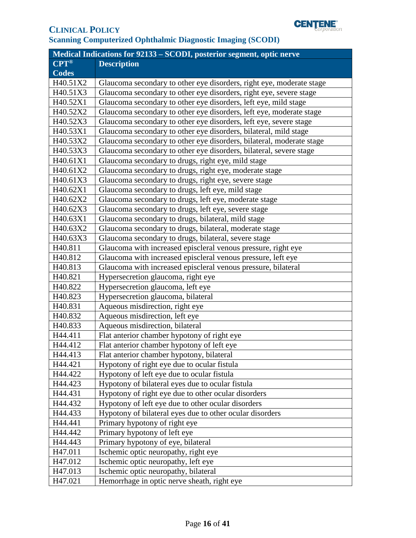

| <b>Medical Indications for 92133 - SCODI, posterior segment, optic nerve</b> |                                                                      |  |
|------------------------------------------------------------------------------|----------------------------------------------------------------------|--|
| $CPT^{\circledR}$                                                            | <b>Description</b>                                                   |  |
| <b>Codes</b>                                                                 |                                                                      |  |
| H40.51X2                                                                     | Glaucoma secondary to other eye disorders, right eye, moderate stage |  |
| H40.51X3                                                                     | Glaucoma secondary to other eye disorders, right eye, severe stage   |  |
| H40.52X1                                                                     | Glaucoma secondary to other eye disorders, left eye, mild stage      |  |
| H40.52X2                                                                     | Glaucoma secondary to other eye disorders, left eye, moderate stage  |  |
| H40.52X3                                                                     | Glaucoma secondary to other eye disorders, left eye, severe stage    |  |
| H40.53X1                                                                     | Glaucoma secondary to other eye disorders, bilateral, mild stage     |  |
| H40.53X2                                                                     | Glaucoma secondary to other eye disorders, bilateral, moderate stage |  |
| H40.53X3                                                                     | Glaucoma secondary to other eye disorders, bilateral, severe stage   |  |
| H40.61X1                                                                     | Glaucoma secondary to drugs, right eye, mild stage                   |  |
| H40.61X2                                                                     | Glaucoma secondary to drugs, right eye, moderate stage               |  |
| H40.61X3                                                                     | Glaucoma secondary to drugs, right eye, severe stage                 |  |
| H40.62X1                                                                     | Glaucoma secondary to drugs, left eye, mild stage                    |  |
| H40.62X2                                                                     | Glaucoma secondary to drugs, left eye, moderate stage                |  |
| H40.62X3                                                                     | Glaucoma secondary to drugs, left eye, severe stage                  |  |
| H40.63X1                                                                     | Glaucoma secondary to drugs, bilateral, mild stage                   |  |
| H40.63X2                                                                     | Glaucoma secondary to drugs, bilateral, moderate stage               |  |
| H40.63X3                                                                     | Glaucoma secondary to drugs, bilateral, severe stage                 |  |
| H40.811                                                                      | Glaucoma with increased episcleral venous pressure, right eye        |  |
| H40.812                                                                      | Glaucoma with increased episcleral venous pressure, left eye         |  |
| H40.813                                                                      | Glaucoma with increased episcleral venous pressure, bilateral        |  |
| H40.821                                                                      | Hypersecretion glaucoma, right eye                                   |  |
| H40.822                                                                      | Hypersecretion glaucoma, left eye                                    |  |
| H40.823                                                                      | Hypersecretion glaucoma, bilateral                                   |  |
| H40.831                                                                      | Aqueous misdirection, right eye                                      |  |
| H40.832                                                                      | Aqueous misdirection, left eye                                       |  |
| H40.833                                                                      | Aqueous misdirection, bilateral                                      |  |
| H44.411                                                                      | Flat anterior chamber hypotony of right eye                          |  |
| H44.412                                                                      | Flat anterior chamber hypotony of left eye                           |  |
| H44.413                                                                      | Flat anterior chamber hypotony, bilateral                            |  |
| H44.421                                                                      | Hypotony of right eye due to ocular fistula                          |  |
| H44.422                                                                      | Hypotony of left eye due to ocular fistula                           |  |
| H44.423                                                                      | Hypotony of bilateral eyes due to ocular fistula                     |  |
| H44.431                                                                      | Hypotony of right eye due to other ocular disorders                  |  |
| H44.432                                                                      | Hypotony of left eye due to other ocular disorders                   |  |
| H44.433                                                                      | Hypotony of bilateral eyes due to other ocular disorders             |  |
| H44.441                                                                      | Primary hypotony of right eye                                        |  |
| H44.442                                                                      | Primary hypotony of left eye                                         |  |
| H44.443                                                                      | Primary hypotony of eye, bilateral                                   |  |
| H <sub>47.011</sub>                                                          | Ischemic optic neuropathy, right eye                                 |  |
| H47.012                                                                      | Ischemic optic neuropathy, left eye                                  |  |
| H47.013                                                                      | Ischemic optic neuropathy, bilateral                                 |  |
| H47.021                                                                      | Hemorrhage in optic nerve sheath, right eye                          |  |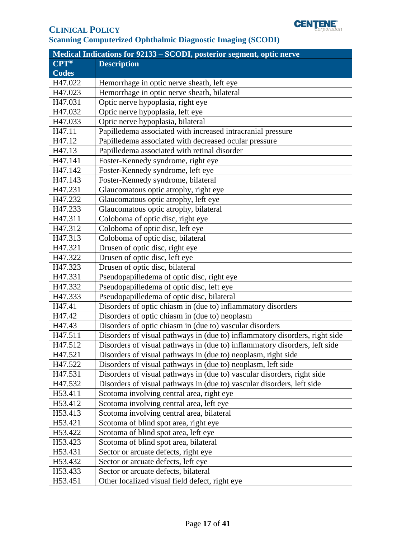

| Medical Indications for 92133 - SCODI, posterior segment, optic nerve |                                                                             |  |
|-----------------------------------------------------------------------|-----------------------------------------------------------------------------|--|
| $\overline{\text{CPT}^{\circledast}}$                                 | <b>Description</b>                                                          |  |
| <b>Codes</b>                                                          |                                                                             |  |
| H47.022                                                               | Hemorrhage in optic nerve sheath, left eye                                  |  |
| H47.023                                                               | Hemorrhage in optic nerve sheath, bilateral                                 |  |
| H47.031                                                               | Optic nerve hypoplasia, right eye                                           |  |
| H47.032                                                               | Optic nerve hypoplasia, left eye                                            |  |
| H47.033                                                               | Optic nerve hypoplasia, bilateral                                           |  |
| H47.11                                                                | Papilledema associated with increased intracranial pressure                 |  |
| H47.12                                                                | Papilledema associated with decreased ocular pressure                       |  |
| H47.13                                                                | Papilledema associated with retinal disorder                                |  |
| H47.141                                                               | Foster-Kennedy syndrome, right eye                                          |  |
| H47.142                                                               | Foster-Kennedy syndrome, left eye                                           |  |
| H47.143                                                               | Foster-Kennedy syndrome, bilateral                                          |  |
| H47.231                                                               | Glaucomatous optic atrophy, right eye                                       |  |
| H47.232                                                               | Glaucomatous optic atrophy, left eye                                        |  |
| H47.233                                                               | Glaucomatous optic atrophy, bilateral                                       |  |
| H47.311                                                               | Coloboma of optic disc, right eye                                           |  |
| H47.312                                                               | Coloboma of optic disc, left eye                                            |  |
| H47.313                                                               | Coloboma of optic disc, bilateral                                           |  |
| H47.321                                                               | Drusen of optic disc, right eye                                             |  |
| H47.322                                                               | Drusen of optic disc, left eye                                              |  |
| H47.323                                                               | Drusen of optic disc, bilateral                                             |  |
| H47.331                                                               | Pseudopapilledema of optic disc, right eye                                  |  |
| H47.332                                                               | Pseudopapilledema of optic disc, left eye                                   |  |
| H47.333                                                               | Pseudopapilledema of optic disc, bilateral                                  |  |
| H47.41                                                                | Disorders of optic chiasm in (due to) inflammatory disorders                |  |
| H47.42                                                                | Disorders of optic chiasm in (due to) neoplasm                              |  |
| H47.43                                                                | Disorders of optic chiasm in (due to) vascular disorders                    |  |
| H47.511                                                               | Disorders of visual pathways in (due to) inflammatory disorders, right side |  |
| H47.512                                                               | Disorders of visual pathways in (due to) inflammatory disorders, left side  |  |
| H47.521                                                               | Disorders of visual pathways in (due to) neoplasm, right side               |  |
| H47.522                                                               | Disorders of visual pathways in (due to) neoplasm, left side                |  |
| H <sub>47.531</sub>                                                   | Disorders of visual pathways in (due to) vascular disorders, right side     |  |
| H47.532                                                               | Disorders of visual pathways in (due to) vascular disorders, left side      |  |
| H53.411                                                               | Scotoma involving central area, right eye                                   |  |
| H53.412                                                               | Scotoma involving central area, left eye                                    |  |
| H53.413                                                               | Scotoma involving central area, bilateral                                   |  |
| H53.421                                                               | Scotoma of blind spot area, right eye                                       |  |
| H53.422                                                               | Scotoma of blind spot area, left eye                                        |  |
| H53.423                                                               | Scotoma of blind spot area, bilateral                                       |  |
| H53.431                                                               | Sector or arcuate defects, right eye                                        |  |
| H53.432                                                               | Sector or arcuate defects, left eye                                         |  |
| H53.433                                                               | Sector or arcuate defects, bilateral                                        |  |
| H53.451                                                               | Other localized visual field defect, right eye                              |  |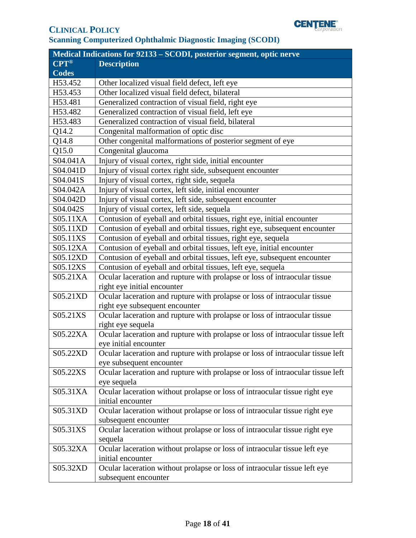

| Medical Indications for 92133 - SCODI, posterior segment, optic nerve |                                                                                      |
|-----------------------------------------------------------------------|--------------------------------------------------------------------------------------|
| $CPT^{\circledR}$                                                     | <b>Description</b>                                                                   |
| <b>Codes</b>                                                          |                                                                                      |
| H53.452                                                               | Other localized visual field defect, left eye                                        |
| H53.453                                                               | Other localized visual field defect, bilateral                                       |
| H53.481                                                               | Generalized contraction of visual field, right eye                                   |
| H53.482                                                               | Generalized contraction of visual field, left eye                                    |
| H53.483                                                               | Generalized contraction of visual field, bilateral                                   |
| Q14.2                                                                 | Congenital malformation of optic disc                                                |
| Q14.8                                                                 | Other congenital malformations of posterior segment of eye                           |
| Q15.0                                                                 | Congenital glaucoma                                                                  |
| S04.041A                                                              | Injury of visual cortex, right side, initial encounter                               |
| S04.041D                                                              | Injury of visual cortex right side, subsequent encounter                             |
| S04.041S                                                              | Injury of visual cortex, right side, sequela                                         |
| S04.042A                                                              | Injury of visual cortex, left side, initial encounter                                |
| S04.042D                                                              | Injury of visual cortex, left side, subsequent encounter                             |
| S04.042S                                                              | Injury of visual cortex, left side, sequela                                          |
| S05.11XA                                                              | Contusion of eyeball and orbital tissues, right eye, initial encounter               |
| S05.11XD                                                              | Contusion of eyeball and orbital tissues, right eye, subsequent encounter            |
| S05.11XS                                                              | Contusion of eyeball and orbital tissues, right eye, sequela                         |
| S05.12XA                                                              | Contusion of eyeball and orbital tissues, left eye, initial encounter                |
| S05.12XD                                                              | Contusion of eyeball and orbital tissues, left eye, subsequent encounter             |
| S05.12XS                                                              | Contusion of eyeball and orbital tissues, left eye, sequela                          |
| S05.21XA                                                              | Ocular laceration and rupture with prolapse or loss of intraocular tissue            |
|                                                                       | right eye initial encounter                                                          |
| S05.21XD                                                              | Ocular laceration and rupture with prolapse or loss of intraocular tissue            |
|                                                                       | right eye subsequent encounter                                                       |
| S05.21XS                                                              | Ocular laceration and rupture with prolapse or loss of intraocular tissue            |
|                                                                       | right eye sequela                                                                    |
| S05.22XA                                                              | Ocular laceration and rupture with prolapse or loss of intraocular tissue left       |
|                                                                       | eye initial encounter                                                                |
| S05.22XD                                                              | Ocular laceration and rupture with prolapse or loss of intraocular tissue left       |
|                                                                       | eye subsequent encounter                                                             |
| S05.22XS                                                              | Ocular laceration and rupture with prolapse or loss of intraocular tissue left       |
|                                                                       | eye sequela                                                                          |
| S05.31XA                                                              | Ocular laceration without prolapse or loss of intraocular tissue right eye           |
|                                                                       | initial encounter                                                                    |
| S05.31XD                                                              | Ocular laceration without prolapse or loss of intraocular tissue right eye           |
|                                                                       | subsequent encounter                                                                 |
| S05.31XS                                                              | Ocular laceration without prolapse or loss of intraocular tissue right eye           |
| S05.32XA                                                              | sequela<br>Ocular laceration without prolapse or loss of intraocular tissue left eye |
|                                                                       | initial encounter                                                                    |
| S05.32XD                                                              | Ocular laceration without prolapse or loss of intraocular tissue left eye            |
|                                                                       | subsequent encounter                                                                 |
|                                                                       |                                                                                      |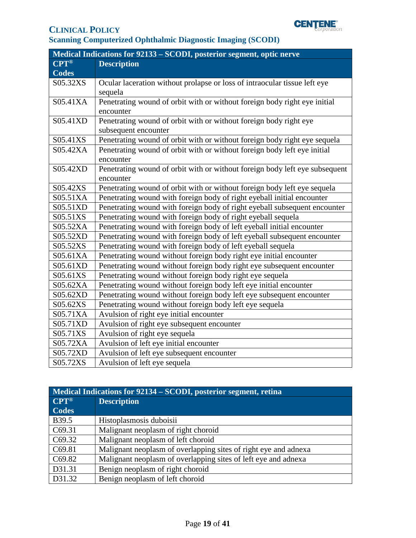

| Medical Indications for 92133 - SCODI, posterior segment, optic nerve |                                                                             |
|-----------------------------------------------------------------------|-----------------------------------------------------------------------------|
| <b>CPT®</b>                                                           | <b>Description</b>                                                          |
| <b>Codes</b>                                                          |                                                                             |
| S05.32XS                                                              | Ocular laceration without prolapse or loss of intraocular tissue left eye   |
|                                                                       | sequela                                                                     |
| S05.41XA                                                              | Penetrating wound of orbit with or without foreign body right eye initial   |
|                                                                       | encounter                                                                   |
| S05.41XD                                                              | Penetrating wound of orbit with or without foreign body right eye           |
|                                                                       | subsequent encounter                                                        |
| S05.41XS                                                              | Penetrating wound of orbit with or without foreign body right eye sequela   |
| S05.42XA                                                              | Penetrating wound of orbit with or without foreign body left eye initial    |
|                                                                       | encounter                                                                   |
| S05.42XD                                                              | Penetrating wound of orbit with or without foreign body left eye subsequent |
|                                                                       | encounter                                                                   |
| S05.42XS                                                              | Penetrating wound of orbit with or without foreign body left eye sequela    |
| S05.51XA                                                              | Penetrating wound with foreign body of right eyeball initial encounter      |
| S05.51XD                                                              | Penetrating wound with foreign body of right eyeball subsequent encounter   |
| S05.51XS                                                              | Penetrating wound with foreign body of right eyeball sequela                |
| S05.52XA                                                              | Penetrating wound with foreign body of left eyeball initial encounter       |
| S05.52XD                                                              | Penetrating wound with foreign body of left eyeball subsequent encounter    |
| S05.52XS                                                              | Penetrating wound with foreign body of left eyeball sequela                 |
| S05.61XA                                                              | Penetrating wound without foreign body right eye initial encounter          |
| S05.61XD                                                              | Penetrating wound without foreign body right eye subsequent encounter       |
| S05.61XS                                                              | Penetrating wound without foreign body right eye sequela                    |
| S05.62XA                                                              | Penetrating wound without foreign body left eye initial encounter           |
| S05.62XD                                                              | Penetrating wound without foreign body left eye subsequent encounter        |
| S05.62XS                                                              | Penetrating wound without foreign body left eye sequela                     |
| S05.71XA                                                              | Avulsion of right eye initial encounter                                     |
| S05.71XD                                                              | Avulsion of right eye subsequent encounter                                  |
| S05.71XS                                                              | Avulsion of right eye sequela                                               |
| S05.72XA                                                              | Avulsion of left eye initial encounter                                      |
| S05.72XD                                                              | Avulsion of left eye subsequent encounter                                   |
| S05.72XS                                                              | Avulsion of left eye sequela                                                |

| Medical Indications for 92134 – SCODI, posterior segment, retina |                                                                 |
|------------------------------------------------------------------|-----------------------------------------------------------------|
| $CPT^{\circledR}$                                                | <b>Description</b>                                              |
| <b>Codes</b>                                                     |                                                                 |
| B39.5                                                            | Histoplasmosis duboisii                                         |
| C69.31                                                           | Malignant neoplasm of right choroid                             |
| C <sub>69.32</sub>                                               | Malignant neoplasm of left choroid                              |
| C69.81                                                           | Malignant neoplasm of overlapping sites of right eye and adnexa |
| C <sub>69.82</sub>                                               | Malignant neoplasm of overlapping sites of left eye and adnexa  |
| D31.31                                                           | Benign neoplasm of right choroid                                |
| D31.32                                                           | Benign neoplasm of left choroid                                 |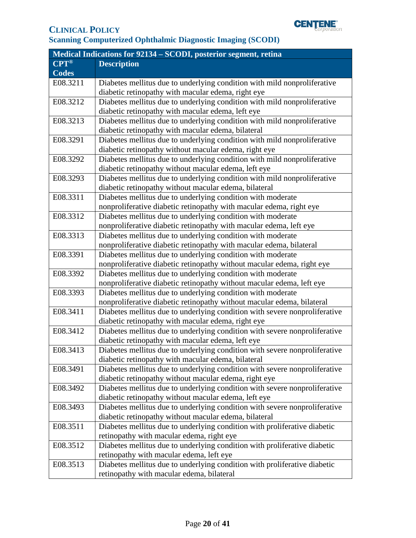

| Medical Indications for 92134 - SCODI, posterior segment, retina |                                                                            |
|------------------------------------------------------------------|----------------------------------------------------------------------------|
| <b>CPT®</b>                                                      | <b>Description</b>                                                         |
| <b>Codes</b>                                                     |                                                                            |
| E08.3211                                                         | Diabetes mellitus due to underlying condition with mild nonproliferative   |
|                                                                  | diabetic retinopathy with macular edema, right eye                         |
| E08.3212                                                         | Diabetes mellitus due to underlying condition with mild nonproliferative   |
|                                                                  | diabetic retinopathy with macular edema, left eye                          |
| E08.3213                                                         | Diabetes mellitus due to underlying condition with mild nonproliferative   |
|                                                                  | diabetic retinopathy with macular edema, bilateral                         |
| E08.3291                                                         | Diabetes mellitus due to underlying condition with mild nonproliferative   |
|                                                                  | diabetic retinopathy without macular edema, right eye                      |
| E08.3292                                                         | Diabetes mellitus due to underlying condition with mild nonproliferative   |
|                                                                  | diabetic retinopathy without macular edema, left eye                       |
| E08.3293                                                         | Diabetes mellitus due to underlying condition with mild nonproliferative   |
|                                                                  | diabetic retinopathy without macular edema, bilateral                      |
| E08.3311                                                         | Diabetes mellitus due to underlying condition with moderate                |
|                                                                  | nonproliferative diabetic retinopathy with macular edema, right eye        |
| E08.3312                                                         | Diabetes mellitus due to underlying condition with moderate                |
|                                                                  | nonproliferative diabetic retinopathy with macular edema, left eye         |
| E08.3313                                                         | Diabetes mellitus due to underlying condition with moderate                |
|                                                                  | nonproliferative diabetic retinopathy with macular edema, bilateral        |
| E08.3391                                                         | Diabetes mellitus due to underlying condition with moderate                |
|                                                                  | nonproliferative diabetic retinopathy without macular edema, right eye     |
| E08.3392                                                         | Diabetes mellitus due to underlying condition with moderate                |
|                                                                  | nonproliferative diabetic retinopathy without macular edema, left eye      |
| E08.3393                                                         | Diabetes mellitus due to underlying condition with moderate                |
|                                                                  | nonproliferative diabetic retinopathy without macular edema, bilateral     |
| E08.3411                                                         | Diabetes mellitus due to underlying condition with severe nonproliferative |
|                                                                  | diabetic retinopathy with macular edema, right eye                         |
| E08.3412                                                         | Diabetes mellitus due to underlying condition with severe nonproliferative |
|                                                                  | diabetic retinopathy with macular edema, left eye                          |
| E08.3413                                                         | Diabetes mellitus due to underlying condition with severe nonproliferative |
|                                                                  | diabetic retinopathy with macular edema, bilateral                         |
| E08.3491                                                         | Diabetes mellitus due to underlying condition with severe nonproliferative |
|                                                                  | diabetic retinopathy without macular edema, right eye                      |
| E08.3492                                                         | Diabetes mellitus due to underlying condition with severe nonproliferative |
|                                                                  | diabetic retinopathy without macular edema, left eye                       |
| E08.3493                                                         | Diabetes mellitus due to underlying condition with severe nonproliferative |
|                                                                  | diabetic retinopathy without macular edema, bilateral                      |
| E08.3511                                                         | Diabetes mellitus due to underlying condition with proliferative diabetic  |
|                                                                  | retinopathy with macular edema, right eye                                  |
| E08.3512                                                         | Diabetes mellitus due to underlying condition with proliferative diabetic  |
|                                                                  | retinopathy with macular edema, left eye                                   |
| E08.3513                                                         | Diabetes mellitus due to underlying condition with proliferative diabetic  |
|                                                                  | retinopathy with macular edema, bilateral                                  |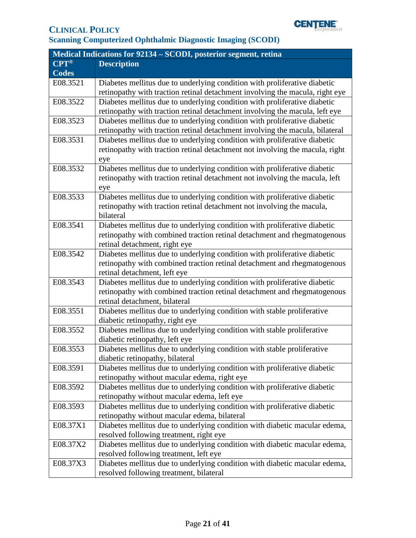

| Medical Indications for 92134 – SCODI, posterior segment, retina |                                                                              |
|------------------------------------------------------------------|------------------------------------------------------------------------------|
| $CPT^{\circledR}$                                                | <b>Description</b>                                                           |
| <b>Codes</b>                                                     |                                                                              |
| E08.3521                                                         | Diabetes mellitus due to underlying condition with proliferative diabetic    |
|                                                                  | retinopathy with traction retinal detachment involving the macula, right eye |
| E08.3522                                                         | Diabetes mellitus due to underlying condition with proliferative diabetic    |
|                                                                  | retinopathy with traction retinal detachment involving the macula, left eye  |
| E08.3523                                                         | Diabetes mellitus due to underlying condition with proliferative diabetic    |
|                                                                  | retinopathy with traction retinal detachment involving the macula, bilateral |
| E08.3531                                                         | Diabetes mellitus due to underlying condition with proliferative diabetic    |
|                                                                  | retinopathy with traction retinal detachment not involving the macula, right |
|                                                                  | eye                                                                          |
| E08.3532                                                         | Diabetes mellitus due to underlying condition with proliferative diabetic    |
|                                                                  | retinopathy with traction retinal detachment not involving the macula, left  |
|                                                                  | eye                                                                          |
| E08.3533                                                         | Diabetes mellitus due to underlying condition with proliferative diabetic    |
|                                                                  | retinopathy with traction retinal detachment not involving the macula,       |
|                                                                  | bilateral                                                                    |
| E08.3541                                                         | Diabetes mellitus due to underlying condition with proliferative diabetic    |
|                                                                  | retinopathy with combined traction retinal detachment and rhegmatogenous     |
|                                                                  | retinal detachment, right eye                                                |
| E08.3542                                                         | Diabetes mellitus due to underlying condition with proliferative diabetic    |
|                                                                  | retinopathy with combined traction retinal detachment and rhegmatogenous     |
|                                                                  | retinal detachment, left eye                                                 |
| E08.3543                                                         | Diabetes mellitus due to underlying condition with proliferative diabetic    |
|                                                                  | retinopathy with combined traction retinal detachment and rhegmatogenous     |
|                                                                  | retinal detachment, bilateral                                                |
| E08.3551                                                         | Diabetes mellitus due to underlying condition with stable proliferative      |
|                                                                  | diabetic retinopathy, right eye                                              |
| E08.3552                                                         | Diabetes mellitus due to underlying condition with stable proliferative      |
|                                                                  | diabetic retinopathy, left eye                                               |
| E08.3553                                                         | Diabetes mellitus due to underlying condition with stable proliferative      |
|                                                                  | diabetic retinopathy, bilateral                                              |
| E08.3591                                                         | Diabetes mellitus due to underlying condition with proliferative diabetic    |
|                                                                  | retinopathy without macular edema, right eye                                 |
| E08.3592                                                         | Diabetes mellitus due to underlying condition with proliferative diabetic    |
|                                                                  | retinopathy without macular edema, left eye                                  |
| E08.3593                                                         | Diabetes mellitus due to underlying condition with proliferative diabetic    |
|                                                                  | retinopathy without macular edema, bilateral                                 |
| E08.37X1                                                         | Diabetes mellitus due to underlying condition with diabetic macular edema,   |
|                                                                  | resolved following treatment, right eye                                      |
| E08.37X2                                                         | Diabetes mellitus due to underlying condition with diabetic macular edema,   |
|                                                                  | resolved following treatment, left eye                                       |
| E08.37X3                                                         | Diabetes mellitus due to underlying condition with diabetic macular edema,   |
|                                                                  | resolved following treatment, bilateral                                      |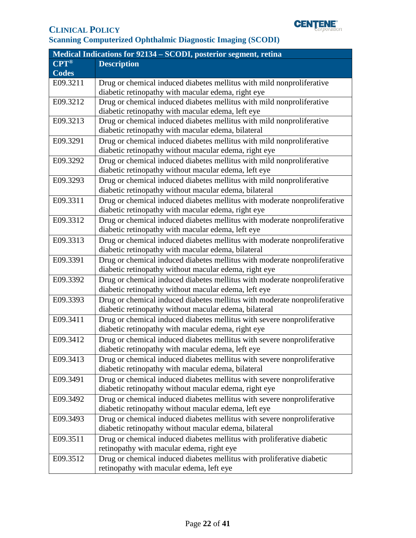

| Medical Indications for 92134 - SCODI, posterior segment, retina |                                                                           |
|------------------------------------------------------------------|---------------------------------------------------------------------------|
| $CPT^{\circledR}$                                                | <b>Description</b>                                                        |
| <b>Codes</b>                                                     |                                                                           |
| E09.3211                                                         | Drug or chemical induced diabetes mellitus with mild nonproliferative     |
|                                                                  | diabetic retinopathy with macular edema, right eye                        |
| E09.3212                                                         | Drug or chemical induced diabetes mellitus with mild nonproliferative     |
|                                                                  | diabetic retinopathy with macular edema, left eye                         |
| E09.3213                                                         | Drug or chemical induced diabetes mellitus with mild nonproliferative     |
|                                                                  | diabetic retinopathy with macular edema, bilateral                        |
| E09.3291                                                         | Drug or chemical induced diabetes mellitus with mild nonproliferative     |
|                                                                  | diabetic retinopathy without macular edema, right eye                     |
| E09.3292                                                         | Drug or chemical induced diabetes mellitus with mild nonproliferative     |
|                                                                  | diabetic retinopathy without macular edema, left eye                      |
| E09.3293                                                         | Drug or chemical induced diabetes mellitus with mild nonproliferative     |
|                                                                  | diabetic retinopathy without macular edema, bilateral                     |
| E09.3311                                                         | Drug or chemical induced diabetes mellitus with moderate nonproliferative |
|                                                                  | diabetic retinopathy with macular edema, right eye                        |
| E09.3312                                                         | Drug or chemical induced diabetes mellitus with moderate nonproliferative |
|                                                                  | diabetic retinopathy with macular edema, left eye                         |
| E09.3313                                                         | Drug or chemical induced diabetes mellitus with moderate nonproliferative |
|                                                                  | diabetic retinopathy with macular edema, bilateral                        |
| E09.3391                                                         | Drug or chemical induced diabetes mellitus with moderate nonproliferative |
|                                                                  | diabetic retinopathy without macular edema, right eye                     |
| E09.3392                                                         | Drug or chemical induced diabetes mellitus with moderate nonproliferative |
|                                                                  | diabetic retinopathy without macular edema, left eye                      |
| E09.3393                                                         | Drug or chemical induced diabetes mellitus with moderate nonproliferative |
|                                                                  | diabetic retinopathy without macular edema, bilateral                     |
| E09.3411                                                         | Drug or chemical induced diabetes mellitus with severe nonproliferative   |
|                                                                  | diabetic retinopathy with macular edema, right eye                        |
| E09.3412                                                         | Drug or chemical induced diabetes mellitus with severe nonproliferative   |
|                                                                  | diabetic retinopathy with macular edema, left eye                         |
| E09.3413                                                         | Drug or chemical induced diabetes mellitus with severe nonproliferative   |
|                                                                  | diabetic retinopathy with macular edema, bilateral                        |
| E09.3491                                                         | Drug or chemical induced diabetes mellitus with severe nonproliferative   |
|                                                                  | diabetic retinopathy without macular edema, right eye                     |
| E09.3492                                                         | Drug or chemical induced diabetes mellitus with severe nonproliferative   |
|                                                                  | diabetic retinopathy without macular edema, left eye                      |
| E09.3493                                                         | Drug or chemical induced diabetes mellitus with severe nonproliferative   |
|                                                                  | diabetic retinopathy without macular edema, bilateral                     |
| E09.3511                                                         | Drug or chemical induced diabetes mellitus with proliferative diabetic    |
|                                                                  | retinopathy with macular edema, right eye                                 |
| E09.3512                                                         | Drug or chemical induced diabetes mellitus with proliferative diabetic    |
|                                                                  | retinopathy with macular edema, left eye                                  |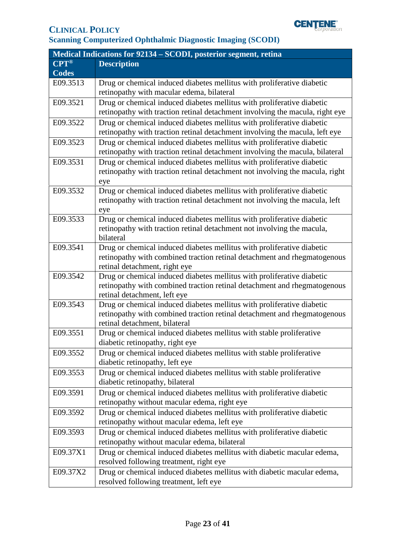

| Medical Indications for 92134 – SCODI, posterior segment, retina |                                                                                                           |
|------------------------------------------------------------------|-----------------------------------------------------------------------------------------------------------|
| $CPT^{\circledR}$                                                | <b>Description</b>                                                                                        |
| <b>Codes</b>                                                     |                                                                                                           |
| E09.3513                                                         | Drug or chemical induced diabetes mellitus with proliferative diabetic                                    |
|                                                                  | retinopathy with macular edema, bilateral                                                                 |
| E09.3521                                                         | Drug or chemical induced diabetes mellitus with proliferative diabetic                                    |
|                                                                  | retinopathy with traction retinal detachment involving the macula, right eye                              |
| E09.3522                                                         | Drug or chemical induced diabetes mellitus with proliferative diabetic                                    |
|                                                                  | retinopathy with traction retinal detachment involving the macula, left eye                               |
| E09.3523                                                         | Drug or chemical induced diabetes mellitus with proliferative diabetic                                    |
|                                                                  | retinopathy with traction retinal detachment involving the macula, bilateral                              |
| E09.3531                                                         | Drug or chemical induced diabetes mellitus with proliferative diabetic                                    |
|                                                                  | retinopathy with traction retinal detachment not involving the macula, right                              |
|                                                                  | eye                                                                                                       |
| E09.3532                                                         | Drug or chemical induced diabetes mellitus with proliferative diabetic                                    |
|                                                                  | retinopathy with traction retinal detachment not involving the macula, left                               |
|                                                                  | eye                                                                                                       |
| E09.3533                                                         | Drug or chemical induced diabetes mellitus with proliferative diabetic                                    |
|                                                                  | retinopathy with traction retinal detachment not involving the macula,                                    |
|                                                                  | bilateral                                                                                                 |
| E09.3541                                                         | Drug or chemical induced diabetes mellitus with proliferative diabetic                                    |
|                                                                  | retinopathy with combined traction retinal detachment and rhegmatogenous                                  |
|                                                                  | retinal detachment, right eye                                                                             |
| E09.3542                                                         | Drug or chemical induced diabetes mellitus with proliferative diabetic                                    |
|                                                                  | retinopathy with combined traction retinal detachment and rhegmatogenous                                  |
|                                                                  | retinal detachment, left eye                                                                              |
| E09.3543                                                         | Drug or chemical induced diabetes mellitus with proliferative diabetic                                    |
|                                                                  | retinopathy with combined traction retinal detachment and rhegmatogenous<br>retinal detachment, bilateral |
| E09.3551                                                         | Drug or chemical induced diabetes mellitus with stable proliferative                                      |
|                                                                  | diabetic retinopathy, right eye                                                                           |
| E09.3552                                                         | Drug or chemical induced diabetes mellitus with stable proliferative                                      |
|                                                                  | diabetic retinopathy, left eye                                                                            |
| E09.3553                                                         | Drug or chemical induced diabetes mellitus with stable proliferative                                      |
|                                                                  | diabetic retinopathy, bilateral                                                                           |
| E09.3591                                                         | Drug or chemical induced diabetes mellitus with proliferative diabetic                                    |
|                                                                  | retinopathy without macular edema, right eye                                                              |
| E09.3592                                                         | Drug or chemical induced diabetes mellitus with proliferative diabetic                                    |
|                                                                  | retinopathy without macular edema, left eye                                                               |
|                                                                  |                                                                                                           |
| E09.3593                                                         | Drug or chemical induced diabetes mellitus with proliferative diabetic                                    |
|                                                                  | retinopathy without macular edema, bilateral                                                              |
| E09.37X1                                                         | Drug or chemical induced diabetes mellitus with diabetic macular edema,                                   |
|                                                                  | resolved following treatment, right eye                                                                   |
| E09.37X2                                                         | Drug or chemical induced diabetes mellitus with diabetic macular edema,                                   |
|                                                                  | resolved following treatment, left eye                                                                    |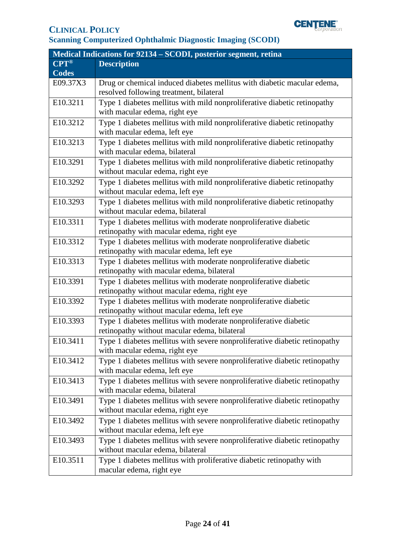

| Medical Indications for 92134 – SCODI, posterior segment, retina |                                                                            |  |
|------------------------------------------------------------------|----------------------------------------------------------------------------|--|
| $CPT^{\circledR}$                                                | <b>Description</b>                                                         |  |
| <b>Codes</b>                                                     |                                                                            |  |
| E09.37X3                                                         | Drug or chemical induced diabetes mellitus with diabetic macular edema,    |  |
|                                                                  | resolved following treatment, bilateral                                    |  |
| E10.3211                                                         | Type 1 diabetes mellitus with mild nonproliferative diabetic retinopathy   |  |
|                                                                  | with macular edema, right eye                                              |  |
| E10.3212                                                         | Type 1 diabetes mellitus with mild nonproliferative diabetic retinopathy   |  |
|                                                                  | with macular edema, left eye                                               |  |
| E10.3213                                                         | Type 1 diabetes mellitus with mild nonproliferative diabetic retinopathy   |  |
|                                                                  | with macular edema, bilateral                                              |  |
| E10.3291                                                         | Type 1 diabetes mellitus with mild nonproliferative diabetic retinopathy   |  |
|                                                                  | without macular edema, right eye                                           |  |
| E10.3292                                                         | Type 1 diabetes mellitus with mild nonproliferative diabetic retinopathy   |  |
|                                                                  | without macular edema, left eye                                            |  |
| E10.3293                                                         | Type 1 diabetes mellitus with mild nonproliferative diabetic retinopathy   |  |
|                                                                  | without macular edema, bilateral                                           |  |
| E10.3311                                                         | Type 1 diabetes mellitus with moderate nonproliferative diabetic           |  |
|                                                                  | retinopathy with macular edema, right eye                                  |  |
| E10.3312                                                         | Type 1 diabetes mellitus with moderate nonproliferative diabetic           |  |
|                                                                  | retinopathy with macular edema, left eye                                   |  |
| E10.3313                                                         | Type 1 diabetes mellitus with moderate nonproliferative diabetic           |  |
|                                                                  | retinopathy with macular edema, bilateral                                  |  |
| E10.3391                                                         | Type 1 diabetes mellitus with moderate nonproliferative diabetic           |  |
|                                                                  | retinopathy without macular edema, right eye                               |  |
| E10.3392                                                         | Type 1 diabetes mellitus with moderate nonproliferative diabetic           |  |
|                                                                  | retinopathy without macular edema, left eye                                |  |
| E10.3393                                                         | Type 1 diabetes mellitus with moderate nonproliferative diabetic           |  |
|                                                                  | retinopathy without macular edema, bilateral                               |  |
| E10.3411                                                         | Type 1 diabetes mellitus with severe nonproliferative diabetic retinopathy |  |
|                                                                  | with macular edema, right eye                                              |  |
| E10.3412                                                         | Type 1 diabetes mellitus with severe nonproliferative diabetic retinopathy |  |
|                                                                  | with macular edema, left eye                                               |  |
| E10.3413                                                         | Type 1 diabetes mellitus with severe nonproliferative diabetic retinopathy |  |
|                                                                  | with macular edema, bilateral                                              |  |
| E10.3491                                                         | Type 1 diabetes mellitus with severe nonproliferative diabetic retinopathy |  |
|                                                                  | without macular edema, right eye                                           |  |
| E10.3492                                                         | Type 1 diabetes mellitus with severe nonproliferative diabetic retinopathy |  |
|                                                                  | without macular edema, left eye                                            |  |
| E10.3493                                                         | Type 1 diabetes mellitus with severe nonproliferative diabetic retinopathy |  |
|                                                                  | without macular edema, bilateral                                           |  |
| E10.3511                                                         | Type 1 diabetes mellitus with proliferative diabetic retinopathy with      |  |
|                                                                  | macular edema, right eye                                                   |  |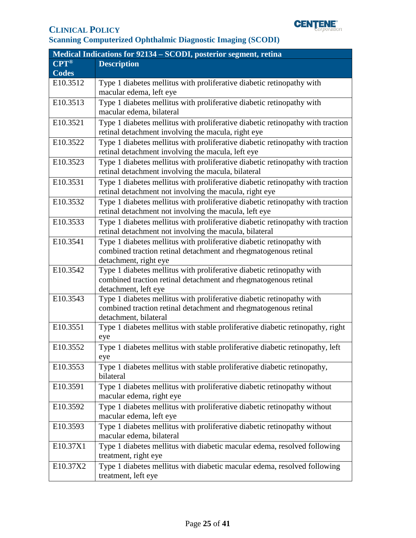

| Medical Indications for 92134 – SCODI, posterior segment, retina |                                                                                |  |
|------------------------------------------------------------------|--------------------------------------------------------------------------------|--|
| $CPT^{\circledR}$                                                | <b>Description</b>                                                             |  |
| <b>Codes</b>                                                     |                                                                                |  |
| E10.3512                                                         | Type 1 diabetes mellitus with proliferative diabetic retinopathy with          |  |
|                                                                  | macular edema, left eye                                                        |  |
| E10.3513                                                         | Type 1 diabetes mellitus with proliferative diabetic retinopathy with          |  |
|                                                                  | macular edema, bilateral                                                       |  |
| E10.3521                                                         | Type 1 diabetes mellitus with proliferative diabetic retinopathy with traction |  |
|                                                                  | retinal detachment involving the macula, right eye                             |  |
| E10.3522                                                         | Type 1 diabetes mellitus with proliferative diabetic retinopathy with traction |  |
|                                                                  | retinal detachment involving the macula, left eye                              |  |
| E10.3523                                                         | Type 1 diabetes mellitus with proliferative diabetic retinopathy with traction |  |
|                                                                  | retinal detachment involving the macula, bilateral                             |  |
| E10.3531                                                         | Type 1 diabetes mellitus with proliferative diabetic retinopathy with traction |  |
|                                                                  | retinal detachment not involving the macula, right eye                         |  |
| E10.3532                                                         | Type 1 diabetes mellitus with proliferative diabetic retinopathy with traction |  |
|                                                                  | retinal detachment not involving the macula, left eye                          |  |
| E10.3533                                                         | Type 1 diabetes mellitus with proliferative diabetic retinopathy with traction |  |
|                                                                  | retinal detachment not involving the macula, bilateral                         |  |
| E10.3541                                                         | Type 1 diabetes mellitus with proliferative diabetic retinopathy with          |  |
|                                                                  | combined traction retinal detachment and rhegmatogenous retinal                |  |
|                                                                  | detachment, right eye                                                          |  |
| E10.3542                                                         | Type 1 diabetes mellitus with proliferative diabetic retinopathy with          |  |
|                                                                  | combined traction retinal detachment and rhegmatogenous retinal                |  |
|                                                                  | detachment, left eye                                                           |  |
| E10.3543                                                         | Type 1 diabetes mellitus with proliferative diabetic retinopathy with          |  |
|                                                                  | combined traction retinal detachment and rhegmatogenous retinal                |  |
|                                                                  | detachment, bilateral                                                          |  |
| E10.3551                                                         | Type 1 diabetes mellitus with stable proliferative diabetic retinopathy, right |  |
|                                                                  | eye                                                                            |  |
| E10.3552                                                         | Type 1 diabetes mellitus with stable proliferative diabetic retinopathy, left  |  |
|                                                                  | eye                                                                            |  |
| E10.3553                                                         | Type 1 diabetes mellitus with stable proliferative diabetic retinopathy,       |  |
|                                                                  | bilateral                                                                      |  |
| E10.3591                                                         | Type 1 diabetes mellitus with proliferative diabetic retinopathy without       |  |
|                                                                  | macular edema, right eye                                                       |  |
| E10.3592                                                         | Type 1 diabetes mellitus with proliferative diabetic retinopathy without       |  |
|                                                                  | macular edema, left eye                                                        |  |
| E10.3593                                                         | Type 1 diabetes mellitus with proliferative diabetic retinopathy without       |  |
|                                                                  | macular edema, bilateral                                                       |  |
| E10.37X1                                                         | Type 1 diabetes mellitus with diabetic macular edema, resolved following       |  |
|                                                                  | treatment, right eye                                                           |  |
| E10.37X2                                                         | Type 1 diabetes mellitus with diabetic macular edema, resolved following       |  |
|                                                                  | treatment, left eye                                                            |  |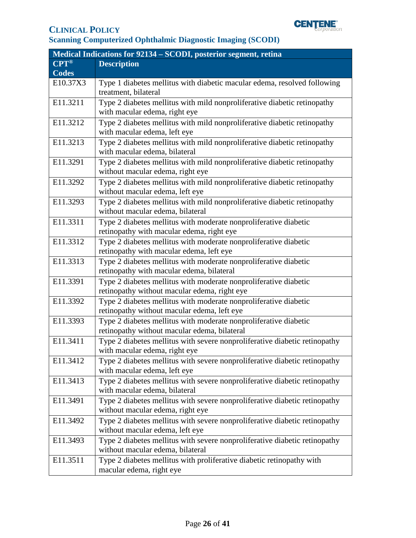

| Medical Indications for 92134 – SCODI, posterior segment, retina |                                                                            |  |
|------------------------------------------------------------------|----------------------------------------------------------------------------|--|
| $CPT^{\circledR}$                                                | <b>Description</b>                                                         |  |
| <b>Codes</b>                                                     |                                                                            |  |
| E10.37X3                                                         | Type 1 diabetes mellitus with diabetic macular edema, resolved following   |  |
|                                                                  | treatment, bilateral                                                       |  |
| E11.3211                                                         | Type 2 diabetes mellitus with mild nonproliferative diabetic retinopathy   |  |
|                                                                  | with macular edema, right eye                                              |  |
| E11.3212                                                         | Type 2 diabetes mellitus with mild nonproliferative diabetic retinopathy   |  |
|                                                                  | with macular edema, left eye                                               |  |
| E11.3213                                                         | Type 2 diabetes mellitus with mild nonproliferative diabetic retinopathy   |  |
|                                                                  | with macular edema, bilateral                                              |  |
| E11.3291                                                         | Type 2 diabetes mellitus with mild nonproliferative diabetic retinopathy   |  |
|                                                                  | without macular edema, right eye                                           |  |
| E11.3292                                                         | Type 2 diabetes mellitus with mild nonproliferative diabetic retinopathy   |  |
|                                                                  | without macular edema, left eye                                            |  |
| E11.3293                                                         | Type 2 diabetes mellitus with mild nonproliferative diabetic retinopathy   |  |
|                                                                  | without macular edema, bilateral                                           |  |
| E11.3311                                                         | Type 2 diabetes mellitus with moderate nonproliferative diabetic           |  |
|                                                                  | retinopathy with macular edema, right eye                                  |  |
| E11.3312                                                         | Type 2 diabetes mellitus with moderate nonproliferative diabetic           |  |
|                                                                  | retinopathy with macular edema, left eye                                   |  |
| E11.3313                                                         | Type 2 diabetes mellitus with moderate nonproliferative diabetic           |  |
|                                                                  | retinopathy with macular edema, bilateral                                  |  |
| E11.3391                                                         | Type 2 diabetes mellitus with moderate nonproliferative diabetic           |  |
|                                                                  | retinopathy without macular edema, right eye                               |  |
| E11.3392                                                         | Type 2 diabetes mellitus with moderate nonproliferative diabetic           |  |
|                                                                  | retinopathy without macular edema, left eye                                |  |
| E11.3393                                                         | Type 2 diabetes mellitus with moderate nonproliferative diabetic           |  |
|                                                                  | retinopathy without macular edema, bilateral                               |  |
| E11.3411                                                         | Type 2 diabetes mellitus with severe nonproliferative diabetic retinopathy |  |
|                                                                  | with macular edema, right eye                                              |  |
| E11.3412                                                         | Type 2 diabetes mellitus with severe nonproliferative diabetic retinopathy |  |
|                                                                  | with macular edema, left eye                                               |  |
| E11.3413                                                         | Type 2 diabetes mellitus with severe nonproliferative diabetic retinopathy |  |
|                                                                  | with macular edema, bilateral                                              |  |
| E11.3491                                                         | Type 2 diabetes mellitus with severe nonproliferative diabetic retinopathy |  |
|                                                                  | without macular edema, right eye                                           |  |
| E11.3492                                                         | Type 2 diabetes mellitus with severe nonproliferative diabetic retinopathy |  |
|                                                                  | without macular edema, left eye                                            |  |
| E11.3493                                                         | Type 2 diabetes mellitus with severe nonproliferative diabetic retinopathy |  |
|                                                                  | without macular edema, bilateral                                           |  |
| E11.3511                                                         | Type 2 diabetes mellitus with proliferative diabetic retinopathy with      |  |
|                                                                  | macular edema, right eye                                                   |  |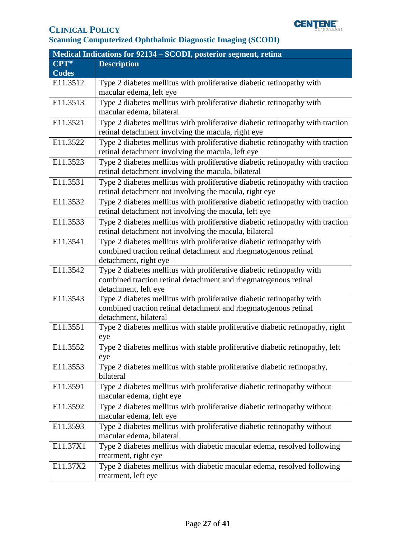

| Medical Indications for 92134 – SCODI, posterior segment, retina |                                                                                |  |
|------------------------------------------------------------------|--------------------------------------------------------------------------------|--|
| $\overline{\mathbf{CPT}^{\circledast}}$                          | <b>Description</b>                                                             |  |
| <b>Codes</b>                                                     |                                                                                |  |
| E11.3512                                                         | Type 2 diabetes mellitus with proliferative diabetic retinopathy with          |  |
|                                                                  | macular edema, left eye                                                        |  |
| E11.3513                                                         | Type 2 diabetes mellitus with proliferative diabetic retinopathy with          |  |
|                                                                  | macular edema, bilateral                                                       |  |
| E11.3521                                                         | Type 2 diabetes mellitus with proliferative diabetic retinopathy with traction |  |
|                                                                  | retinal detachment involving the macula, right eye                             |  |
| E11.3522                                                         | Type 2 diabetes mellitus with proliferative diabetic retinopathy with traction |  |
|                                                                  | retinal detachment involving the macula, left eye                              |  |
| E11.3523                                                         | Type 2 diabetes mellitus with proliferative diabetic retinopathy with traction |  |
|                                                                  | retinal detachment involving the macula, bilateral                             |  |
| E11.3531                                                         | Type 2 diabetes mellitus with proliferative diabetic retinopathy with traction |  |
|                                                                  | retinal detachment not involving the macula, right eye                         |  |
| E11.3532                                                         | Type 2 diabetes mellitus with proliferative diabetic retinopathy with traction |  |
|                                                                  | retinal detachment not involving the macula, left eye                          |  |
| E11.3533                                                         | Type 2 diabetes mellitus with proliferative diabetic retinopathy with traction |  |
|                                                                  | retinal detachment not involving the macula, bilateral                         |  |
| E11.3541                                                         | Type 2 diabetes mellitus with proliferative diabetic retinopathy with          |  |
|                                                                  | combined traction retinal detachment and rhegmatogenous retinal                |  |
|                                                                  | detachment, right eye                                                          |  |
| E11.3542                                                         | Type 2 diabetes mellitus with proliferative diabetic retinopathy with          |  |
|                                                                  | combined traction retinal detachment and rhegmatogenous retinal                |  |
|                                                                  | detachment, left eye                                                           |  |
| E11.3543                                                         | Type 2 diabetes mellitus with proliferative diabetic retinopathy with          |  |
|                                                                  | combined traction retinal detachment and rhegmatogenous retinal                |  |
|                                                                  | detachment, bilateral                                                          |  |
| E11.3551                                                         | Type 2 diabetes mellitus with stable proliferative diabetic retinopathy, right |  |
|                                                                  | eye                                                                            |  |
| E11.3552                                                         | Type 2 diabetes mellitus with stable proliferative diabetic retinopathy, left  |  |
|                                                                  | eye                                                                            |  |
| E11.3553                                                         | Type 2 diabetes mellitus with stable proliferative diabetic retinopathy,       |  |
|                                                                  | bilateral                                                                      |  |
| E11.3591                                                         | Type 2 diabetes mellitus with proliferative diabetic retinopathy without       |  |
|                                                                  | macular edema, right eye                                                       |  |
| E11.3592                                                         | Type 2 diabetes mellitus with proliferative diabetic retinopathy without       |  |
|                                                                  | macular edema, left eye                                                        |  |
| E11.3593                                                         | Type 2 diabetes mellitus with proliferative diabetic retinopathy without       |  |
|                                                                  | macular edema, bilateral                                                       |  |
| E11.37X1                                                         | Type 2 diabetes mellitus with diabetic macular edema, resolved following       |  |
|                                                                  | treatment, right eye                                                           |  |
| E11.37X2                                                         | Type 2 diabetes mellitus with diabetic macular edema, resolved following       |  |
|                                                                  | treatment, left eye                                                            |  |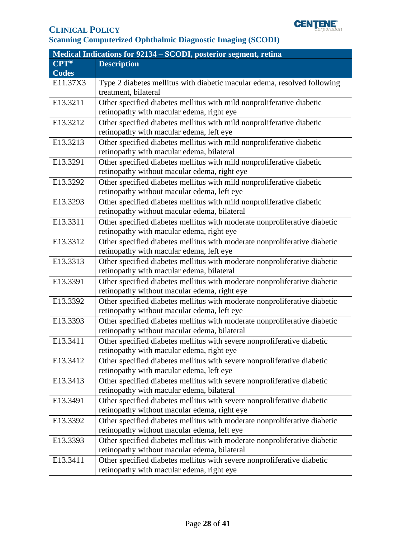

| Medical Indications for 92134 – SCODI, posterior segment, retina |                                                                           |  |
|------------------------------------------------------------------|---------------------------------------------------------------------------|--|
| $CPT^{\circledR}$                                                | <b>Description</b>                                                        |  |
| <b>Codes</b>                                                     |                                                                           |  |
| E11.37X3                                                         | Type 2 diabetes mellitus with diabetic macular edema, resolved following  |  |
|                                                                  | treatment, bilateral                                                      |  |
| E13.3211                                                         | Other specified diabetes mellitus with mild nonproliferative diabetic     |  |
|                                                                  | retinopathy with macular edema, right eye                                 |  |
| E13.3212                                                         | Other specified diabetes mellitus with mild nonproliferative diabetic     |  |
|                                                                  | retinopathy with macular edema, left eye                                  |  |
| E13.3213                                                         | Other specified diabetes mellitus with mild nonproliferative diabetic     |  |
|                                                                  | retinopathy with macular edema, bilateral                                 |  |
| E13.3291                                                         | Other specified diabetes mellitus with mild nonproliferative diabetic     |  |
|                                                                  | retinopathy without macular edema, right eye                              |  |
| E13.3292                                                         | Other specified diabetes mellitus with mild nonproliferative diabetic     |  |
|                                                                  | retinopathy without macular edema, left eye                               |  |
| E13.3293                                                         | Other specified diabetes mellitus with mild nonproliferative diabetic     |  |
|                                                                  | retinopathy without macular edema, bilateral                              |  |
| E13.3311                                                         | Other specified diabetes mellitus with moderate nonproliferative diabetic |  |
|                                                                  | retinopathy with macular edema, right eye                                 |  |
| E13.3312                                                         | Other specified diabetes mellitus with moderate nonproliferative diabetic |  |
|                                                                  | retinopathy with macular edema, left eye                                  |  |
| E13.3313                                                         | Other specified diabetes mellitus with moderate nonproliferative diabetic |  |
|                                                                  | retinopathy with macular edema, bilateral                                 |  |
| E13.3391                                                         | Other specified diabetes mellitus with moderate nonproliferative diabetic |  |
|                                                                  | retinopathy without macular edema, right eye                              |  |
| E13.3392                                                         | Other specified diabetes mellitus with moderate nonproliferative diabetic |  |
|                                                                  | retinopathy without macular edema, left eye                               |  |
| E13.3393                                                         | Other specified diabetes mellitus with moderate nonproliferative diabetic |  |
|                                                                  | retinopathy without macular edema, bilateral                              |  |
| E13.3411                                                         | Other specified diabetes mellitus with severe nonproliferative diabetic   |  |
|                                                                  | retinopathy with macular edema, right eye                                 |  |
| E13.3412                                                         | Other specified diabetes mellitus with severe nonproliferative diabetic   |  |
|                                                                  | retinopathy with macular edema, left eye                                  |  |
| E13.3413                                                         | Other specified diabetes mellitus with severe nonproliferative diabetic   |  |
|                                                                  | retinopathy with macular edema, bilateral                                 |  |
| E13.3491                                                         | Other specified diabetes mellitus with severe nonproliferative diabetic   |  |
|                                                                  | retinopathy without macular edema, right eye                              |  |
| E13.3392                                                         | Other specified diabetes mellitus with moderate nonproliferative diabetic |  |
|                                                                  | retinopathy without macular edema, left eye                               |  |
| E13.3393                                                         | Other specified diabetes mellitus with moderate nonproliferative diabetic |  |
|                                                                  | retinopathy without macular edema, bilateral                              |  |
| E13.3411                                                         | Other specified diabetes mellitus with severe nonproliferative diabetic   |  |
|                                                                  | retinopathy with macular edema, right eye                                 |  |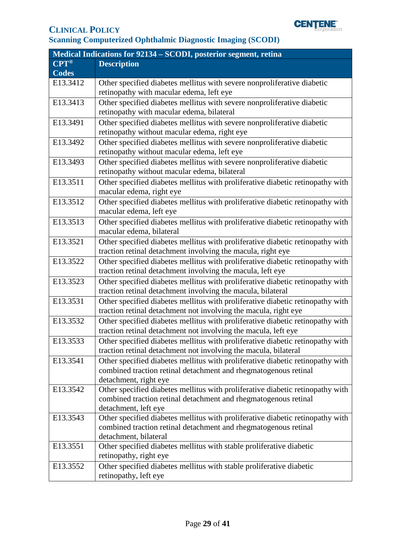

| Medical Indications for 92134 – SCODI, posterior segment, retina |                                                                                |  |
|------------------------------------------------------------------|--------------------------------------------------------------------------------|--|
| $CPT^{\circledR}$                                                | <b>Description</b>                                                             |  |
| <b>Codes</b>                                                     |                                                                                |  |
| E13.3412                                                         | Other specified diabetes mellitus with severe nonproliferative diabetic        |  |
|                                                                  | retinopathy with macular edema, left eye                                       |  |
| E13.3413                                                         | Other specified diabetes mellitus with severe nonproliferative diabetic        |  |
|                                                                  | retinopathy with macular edema, bilateral                                      |  |
| E13.3491                                                         | Other specified diabetes mellitus with severe nonproliferative diabetic        |  |
|                                                                  | retinopathy without macular edema, right eye                                   |  |
| E13.3492                                                         | Other specified diabetes mellitus with severe nonproliferative diabetic        |  |
|                                                                  | retinopathy without macular edema, left eye                                    |  |
| E13.3493                                                         | Other specified diabetes mellitus with severe nonproliferative diabetic        |  |
|                                                                  | retinopathy without macular edema, bilateral                                   |  |
| E13.3511                                                         | Other specified diabetes mellitus with proliferative diabetic retinopathy with |  |
|                                                                  | macular edema, right eye                                                       |  |
| E13.3512                                                         | Other specified diabetes mellitus with proliferative diabetic retinopathy with |  |
|                                                                  | macular edema, left eye                                                        |  |
| E13.3513                                                         | Other specified diabetes mellitus with proliferative diabetic retinopathy with |  |
|                                                                  | macular edema, bilateral                                                       |  |
| E13.3521                                                         | Other specified diabetes mellitus with proliferative diabetic retinopathy with |  |
|                                                                  | traction retinal detachment involving the macula, right eye                    |  |
| E13.3522                                                         | Other specified diabetes mellitus with proliferative diabetic retinopathy with |  |
|                                                                  | traction retinal detachment involving the macula, left eye                     |  |
| E13.3523                                                         | Other specified diabetes mellitus with proliferative diabetic retinopathy with |  |
|                                                                  | traction retinal detachment involving the macula, bilateral                    |  |
| E13.3531                                                         | Other specified diabetes mellitus with proliferative diabetic retinopathy with |  |
|                                                                  | traction retinal detachment not involving the macula, right eye                |  |
| E13.3532                                                         | Other specified diabetes mellitus with proliferative diabetic retinopathy with |  |
|                                                                  | traction retinal detachment not involving the macula, left eye                 |  |
| E13.3533                                                         | Other specified diabetes mellitus with proliferative diabetic retinopathy with |  |
|                                                                  | traction retinal detachment not involving the macula, bilateral                |  |
| E13.3541                                                         | Other specified diabetes mellitus with proliferative diabetic retinopathy with |  |
|                                                                  | combined traction retinal detachment and rhegmatogenous retinal                |  |
|                                                                  | detachment, right eye                                                          |  |
| E13.3542                                                         | Other specified diabetes mellitus with proliferative diabetic retinopathy with |  |
|                                                                  | combined traction retinal detachment and rhegmatogenous retinal                |  |
|                                                                  | detachment, left eye                                                           |  |
| E13.3543                                                         | Other specified diabetes mellitus with proliferative diabetic retinopathy with |  |
|                                                                  | combined traction retinal detachment and rhegmatogenous retinal                |  |
|                                                                  | detachment, bilateral                                                          |  |
| E13.3551                                                         | Other specified diabetes mellitus with stable proliferative diabetic           |  |
|                                                                  | retinopathy, right eye                                                         |  |
| E13.3552                                                         | Other specified diabetes mellitus with stable proliferative diabetic           |  |
|                                                                  | retinopathy, left eye                                                          |  |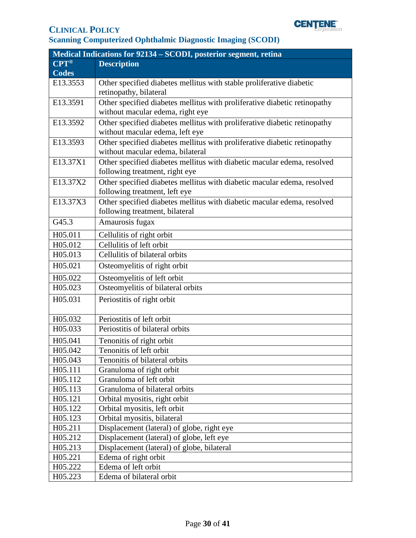

| Medical Indications for 92134 – SCODI, posterior segment, retina |                                                                           |  |
|------------------------------------------------------------------|---------------------------------------------------------------------------|--|
| $CPT^{\circledR}$                                                | <b>Description</b>                                                        |  |
| <b>Codes</b>                                                     |                                                                           |  |
| E13.3553                                                         | Other specified diabetes mellitus with stable proliferative diabetic      |  |
|                                                                  | retinopathy, bilateral                                                    |  |
| E13.3591                                                         | Other specified diabetes mellitus with proliferative diabetic retinopathy |  |
|                                                                  | without macular edema, right eye                                          |  |
| E13.3592                                                         | Other specified diabetes mellitus with proliferative diabetic retinopathy |  |
|                                                                  | without macular edema, left eye                                           |  |
| E13.3593                                                         | Other specified diabetes mellitus with proliferative diabetic retinopathy |  |
|                                                                  | without macular edema, bilateral                                          |  |
| E13.37X1                                                         | Other specified diabetes mellitus with diabetic macular edema, resolved   |  |
|                                                                  | following treatment, right eye                                            |  |
| E13.37X2                                                         | Other specified diabetes mellitus with diabetic macular edema, resolved   |  |
|                                                                  | following treatment, left eye                                             |  |
| E13.37X3                                                         | Other specified diabetes mellitus with diabetic macular edema, resolved   |  |
|                                                                  | following treatment, bilateral                                            |  |
| G45.3                                                            | Amaurosis fugax                                                           |  |
| H05.011                                                          | Cellulitis of right orbit                                                 |  |
| H05.012                                                          | Cellulitis of left orbit                                                  |  |
| H05.013                                                          | Cellulitis of bilateral orbits                                            |  |
| H05.021                                                          | Osteomyelitis of right orbit                                              |  |
| H05.022                                                          | Osteomyelitis of left orbit                                               |  |
| H05.023                                                          | Osteomyelitis of bilateral orbits                                         |  |
| H05.031                                                          | Periostitis of right orbit                                                |  |
|                                                                  |                                                                           |  |
| H05.032                                                          | Periostitis of left orbit                                                 |  |
| H05.033                                                          | Periostitis of bilateral orbits                                           |  |
| H05.041                                                          | Tenonitis of right orbit                                                  |  |
| H05.042                                                          | Tenonitis of left orbit                                                   |  |
| H05.043                                                          | Tenonitis of bilateral orbits                                             |  |
| H05.111                                                          | Granuloma of right orbit                                                  |  |
| H05.112                                                          | Granuloma of left orbit                                                   |  |
| H05.113                                                          | Granuloma of bilateral orbits                                             |  |
| H05.121                                                          | Orbital myositis, right orbit                                             |  |
| H05.122                                                          | Orbital myositis, left orbit                                              |  |
| H05.123                                                          | Orbital myositis, bilateral                                               |  |
| H05.211                                                          | Displacement (lateral) of globe, right eye                                |  |
| H05.212                                                          | Displacement (lateral) of globe, left eye                                 |  |
| H05.213                                                          | Displacement (lateral) of globe, bilateral                                |  |
| H05.221                                                          | Edema of right orbit                                                      |  |
| H05.222                                                          | Edema of left orbit                                                       |  |
| H05.223                                                          | Edema of bilateral orbit                                                  |  |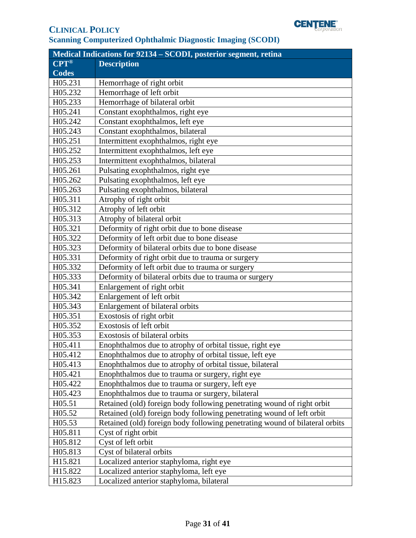

| Medical Indications for 92134 - SCODI, posterior segment, retina |                                                                             |  |
|------------------------------------------------------------------|-----------------------------------------------------------------------------|--|
| <b>CPT®</b>                                                      | <b>Description</b>                                                          |  |
| <b>Codes</b>                                                     |                                                                             |  |
| H05.231                                                          | Hemorrhage of right orbit                                                   |  |
| H05.232                                                          | Hemorrhage of left orbit                                                    |  |
| H05.233                                                          | Hemorrhage of bilateral orbit                                               |  |
| H05.241                                                          | Constant exophthalmos, right eye                                            |  |
| H05.242                                                          | Constant exophthalmos, left eye                                             |  |
| H05.243                                                          | Constant exophthalmos, bilateral                                            |  |
| H05.251                                                          | Intermittent exophthalmos, right eye                                        |  |
| H05.252                                                          | Intermittent exophthalmos, left eye                                         |  |
| H05.253                                                          | Intermittent exophthalmos, bilateral                                        |  |
| H05.261                                                          | Pulsating exophthalmos, right eye                                           |  |
| H05.262                                                          | Pulsating exophthalmos, left eye                                            |  |
| H05.263                                                          | Pulsating exophthalmos, bilateral                                           |  |
| H05.311                                                          | Atrophy of right orbit                                                      |  |
| H05.312                                                          | Atrophy of left orbit                                                       |  |
| H05.313                                                          | Atrophy of bilateral orbit                                                  |  |
| H05.321                                                          | Deformity of right orbit due to bone disease                                |  |
| H05.322                                                          | Deformity of left orbit due to bone disease                                 |  |
| H05.323                                                          | Deformity of bilateral orbits due to bone disease                           |  |
| H05.331                                                          | Deformity of right orbit due to trauma or surgery                           |  |
| H05.332                                                          | Deformity of left orbit due to trauma or surgery                            |  |
| H05.333                                                          | Deformity of bilateral orbits due to trauma or surgery                      |  |
| H05.341                                                          | Enlargement of right orbit                                                  |  |
| H05.342                                                          | Enlargement of left orbit                                                   |  |
| H05.343                                                          | Enlargement of bilateral orbits                                             |  |
| H05.351                                                          | Exostosis of right orbit                                                    |  |
| H05.352                                                          | Exostosis of left orbit                                                     |  |
| H05.353                                                          | Exostosis of bilateral orbits                                               |  |
| H05.411                                                          | Enophthalmos due to atrophy of orbital tissue, right eye                    |  |
| H05.412                                                          | Enophthalmos due to atrophy of orbital tissue, left eye                     |  |
| H05.413                                                          | Enophthalmos due to atrophy of orbital tissue, bilateral                    |  |
| H05.421                                                          | Enophthalmos due to trauma or surgery, right eye                            |  |
| H05.422                                                          | Enophthalmos due to trauma or surgery, left eye                             |  |
| H05.423                                                          | Enophthalmos due to trauma or surgery, bilateral                            |  |
| H05.51                                                           | Retained (old) foreign body following penetrating wound of right orbit      |  |
| H05.52                                                           | Retained (old) foreign body following penetrating wound of left orbit       |  |
| H05.53                                                           | Retained (old) foreign body following penetrating wound of bilateral orbits |  |
| H05.811                                                          | Cyst of right orbit                                                         |  |
| H05.812                                                          | Cyst of left orbit                                                          |  |
| H05.813                                                          | Cyst of bilateral orbits                                                    |  |
| H15.821                                                          | Localized anterior staphyloma, right eye                                    |  |
| H15.822                                                          | Localized anterior staphyloma, left eye                                     |  |
| H15.823                                                          | Localized anterior staphyloma, bilateral                                    |  |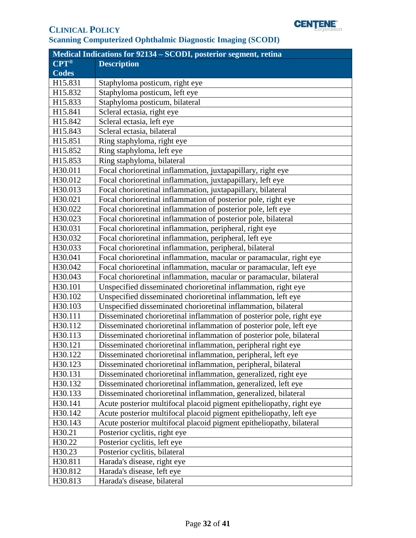

| Medical Indications for 92134 – SCODI, posterior segment, retina |                                                                      |  |
|------------------------------------------------------------------|----------------------------------------------------------------------|--|
| $CPT^{\circledR}$                                                | <b>Description</b>                                                   |  |
| <b>Codes</b>                                                     |                                                                      |  |
| H15.831                                                          | Staphyloma posticum, right eye                                       |  |
| H15.832                                                          | Staphyloma posticum, left eye                                        |  |
| H15.833                                                          | Staphyloma posticum, bilateral                                       |  |
| H15.841                                                          | Scleral ectasia, right eye                                           |  |
| H15.842                                                          | Scleral ectasia, left eye                                            |  |
| H15.843                                                          | Scleral ectasia, bilateral                                           |  |
| H15.851                                                          | Ring staphyloma, right eye                                           |  |
| H15.852                                                          | Ring staphyloma, left eye                                            |  |
| H15.853                                                          | Ring staphyloma, bilateral                                           |  |
| H30.011                                                          | Focal chorioretinal inflammation, juxtapapillary, right eye          |  |
| H30.012                                                          | Focal chorioretinal inflammation, juxtapapillary, left eye           |  |
| H30.013                                                          | Focal chorioretinal inflammation, juxtapapillary, bilateral          |  |
| H30.021                                                          | Focal chorioretinal inflammation of posterior pole, right eye        |  |
| H30.022                                                          | Focal chorioretinal inflammation of posterior pole, left eye         |  |
| H30.023                                                          | Focal chorioretinal inflammation of posterior pole, bilateral        |  |
| H30.031                                                          | Focal chorioretinal inflammation, peripheral, right eye              |  |
| H30.032                                                          | Focal chorioretinal inflammation, peripheral, left eye               |  |
| H30.033                                                          | Focal chorioretinal inflammation, peripheral, bilateral              |  |
| H30.041                                                          | Focal chorioretinal inflammation, macular or paramacular, right eye  |  |
| H30.042                                                          | Focal chorioretinal inflammation, macular or paramacular, left eye   |  |
| H30.043                                                          | Focal chorioretinal inflammation, macular or paramacular, bilateral  |  |
| H30.101                                                          | Unspecified disseminated chorioretinal inflammation, right eye       |  |
| H30.102                                                          | Unspecified disseminated chorioretinal inflammation, left eye        |  |
| H30.103                                                          | Unspecified disseminated chorioretinal inflammation, bilateral       |  |
| H30.111                                                          | Disseminated chorioretinal inflammation of posterior pole, right eye |  |
| H30.112                                                          | Disseminated chorioretinal inflammation of posterior pole, left eye  |  |
| H30.113                                                          | Disseminated chorioretinal inflammation of posterior pole, bilateral |  |
| H30.121                                                          | Disseminated chorioretinal inflammation, peripheral right eye        |  |
| H30.122                                                          | Disseminated chorioretinal inflammation, peripheral, left eye        |  |
| H30.123                                                          | Disseminated chorioretinal inflammation, peripheral, bilateral       |  |
| H30.131                                                          | Disseminated chorioretinal inflammation, generalized, right eye      |  |
| H30.132                                                          | Disseminated chorioretinal inflammation, generalized, left eye       |  |
| H30.133                                                          | Disseminated chorioretinal inflammation, generalized, bilateral      |  |
| H30.141                                                          | Acute posterior multifocal placoid pigment epitheliopathy, right eye |  |
| H30.142                                                          | Acute posterior multifocal placoid pigment epitheliopathy, left eye  |  |
| H30.143                                                          | Acute posterior multifocal placoid pigment epitheliopathy, bilateral |  |
| H30.21                                                           | Posterior cyclitis, right eye                                        |  |
| H30.22                                                           | Posterior cyclitis, left eye                                         |  |
| H30.23                                                           | Posterior cyclitis, bilateral                                        |  |
| H30.811                                                          | Harada's disease, right eye                                          |  |
| H30.812                                                          | Harada's disease, left eye                                           |  |
| H30.813                                                          | Harada's disease, bilateral                                          |  |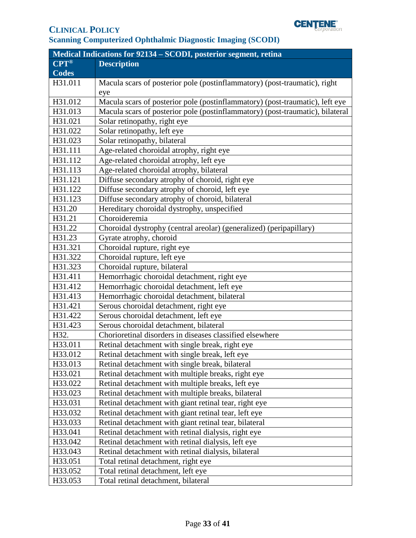

| <b>Medical Indications for 92134 - SCODI, posterior segment, retina</b> |                                                                               |  |
|-------------------------------------------------------------------------|-------------------------------------------------------------------------------|--|
| <b>CPT®</b>                                                             | <b>Description</b>                                                            |  |
| <b>Codes</b>                                                            |                                                                               |  |
| H31.011                                                                 | Macula scars of posterior pole (postinflammatory) (post-traumatic), right     |  |
|                                                                         | eye                                                                           |  |
| H31.012                                                                 | Macula scars of posterior pole (postinflammatory) (post-traumatic), left eye  |  |
| H31.013                                                                 | Macula scars of posterior pole (postinflammatory) (post-traumatic), bilateral |  |
| H31.021                                                                 | Solar retinopathy, right eye                                                  |  |
| H31.022                                                                 | Solar retinopathy, left eye                                                   |  |
| H31.023                                                                 | Solar retinopathy, bilateral                                                  |  |
| H31.111                                                                 | Age-related choroidal atrophy, right eye                                      |  |
| H31.112                                                                 | Age-related choroidal atrophy, left eye                                       |  |
| H31.113                                                                 | Age-related choroidal atrophy, bilateral                                      |  |
| H31.121                                                                 | Diffuse secondary atrophy of choroid, right eye                               |  |
| H31.122                                                                 | Diffuse secondary atrophy of choroid, left eye                                |  |
| H31.123                                                                 | Diffuse secondary atrophy of choroid, bilateral                               |  |
| H31.20                                                                  | Hereditary choroidal dystrophy, unspecified                                   |  |
| H31.21                                                                  | Choroideremia                                                                 |  |
| H31.22                                                                  | Choroidal dystrophy (central areolar) (generalized) (peripapillary)           |  |
| H31.23                                                                  | Gyrate atrophy, choroid                                                       |  |
| H31.321                                                                 | Choroidal rupture, right eye                                                  |  |
| H31.322                                                                 | Choroidal rupture, left eye                                                   |  |
| H31.323                                                                 | Choroidal rupture, bilateral                                                  |  |
| H31.411                                                                 | Hemorrhagic choroidal detachment, right eye                                   |  |
| H31.412                                                                 | Hemorrhagic choroidal detachment, left eye                                    |  |
| H31.413                                                                 | Hemorrhagic choroidal detachment, bilateral                                   |  |
| H31.421                                                                 | Serous choroidal detachment, right eye                                        |  |
| H31.422                                                                 | Serous choroidal detachment, left eye                                         |  |
| H31.423                                                                 | Serous choroidal detachment, bilateral                                        |  |
| H32.                                                                    | Chorioretinal disorders in diseases classified elsewhere                      |  |
| H33.011                                                                 | Retinal detachment with single break, right eye                               |  |
| H33.012                                                                 | Retinal detachment with single break, left eye                                |  |
| H33.013                                                                 | Retinal detachment with single break, bilateral                               |  |
| H33.021                                                                 | Retinal detachment with multiple breaks, right eye                            |  |
| H33.022                                                                 | Retinal detachment with multiple breaks, left eye                             |  |
| H33.023                                                                 | Retinal detachment with multiple breaks, bilateral                            |  |
| H33.031                                                                 | Retinal detachment with giant retinal tear, right eye                         |  |
| H33.032                                                                 | Retinal detachment with giant retinal tear, left eye                          |  |
| H33.033                                                                 | Retinal detachment with giant retinal tear, bilateral                         |  |
| H33.041                                                                 | Retinal detachment with retinal dialysis, right eye                           |  |
| H33.042                                                                 | Retinal detachment with retinal dialysis, left eye                            |  |
| H33.043                                                                 | Retinal detachment with retinal dialysis, bilateral                           |  |
| H33.051                                                                 | Total retinal detachment, right eye                                           |  |
| H33.052                                                                 | Total retinal detachment, left eye                                            |  |
| H33.053                                                                 | Total retinal detachment, bilateral                                           |  |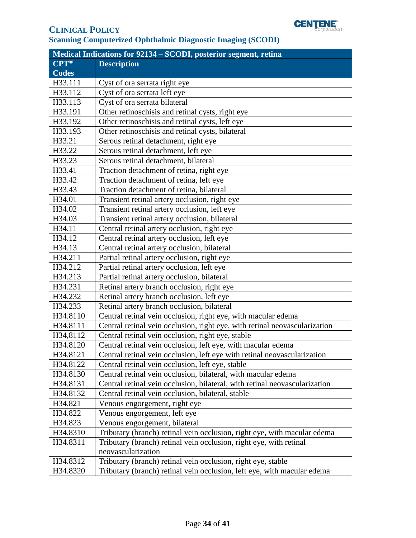

| Medical Indications for 92134 – SCODI, posterior segment, retina |                                                                            |  |
|------------------------------------------------------------------|----------------------------------------------------------------------------|--|
| $CPT^{\circledR}$                                                | <b>Description</b>                                                         |  |
| <b>Codes</b>                                                     |                                                                            |  |
| H33.111                                                          | Cyst of ora serrata right eye                                              |  |
| H33.112                                                          | Cyst of ora serrata left eye                                               |  |
| H33.113                                                          | Cyst of ora serrata bilateral                                              |  |
| H33.191                                                          | Other retinoschisis and retinal cysts, right eye                           |  |
| H33.192                                                          | Other retinoschisis and retinal cysts, left eye                            |  |
| H33.193                                                          | Other retinoschisis and retinal cysts, bilateral                           |  |
| H33.21                                                           | Serous retinal detachment, right eye                                       |  |
| H33.22                                                           | Serous retinal detachment, left eye                                        |  |
| H33.23                                                           | Serous retinal detachment, bilateral                                       |  |
| H33.41                                                           | Traction detachment of retina, right eye                                   |  |
| H33.42                                                           | Traction detachment of retina, left eye                                    |  |
| H33.43                                                           | Traction detachment of retina, bilateral                                   |  |
| H34.01                                                           | Transient retinal artery occlusion, right eye                              |  |
| H34.02                                                           | Transient retinal artery occlusion, left eye                               |  |
| H34.03                                                           | Transient retinal artery occlusion, bilateral                              |  |
| H34.11                                                           | Central retinal artery occlusion, right eye                                |  |
| H34.12                                                           | Central retinal artery occlusion, left eye                                 |  |
| H34.13                                                           | Central retinal artery occlusion, bilateral                                |  |
| H34.211                                                          | Partial retinal artery occlusion, right eye                                |  |
| H34.212                                                          | Partial retinal artery occlusion, left eye                                 |  |
| H34.213                                                          | Partial retinal artery occlusion, bilateral                                |  |
| H34.231                                                          | Retinal artery branch occlusion, right eye                                 |  |
| H34.232                                                          | Retinal artery branch occlusion, left eye                                  |  |
| H34.233                                                          | Retinal artery branch occlusion, bilateral                                 |  |
| H34.8110                                                         | Central retinal vein occlusion, right eye, with macular edema              |  |
| H34.8111                                                         | Central retinal vein occlusion, right eye, with retinal neovascularization |  |
| H34,8112                                                         | Central retinal vein occlusion, right eye, stable                          |  |
| H34.8120                                                         | Central retinal vein occlusion, left eye, with macular edema               |  |
| H34.8121                                                         | Central retinal vein occlusion, left eye with retinal neovascularization   |  |
| H34.8122                                                         | Central retinal vein occlusion, left eye, stable                           |  |
| H34.8130                                                         | Central retinal vein occlusion, bilateral, with macular edema              |  |
| H34.8131                                                         | Central retinal vein occlusion, bilateral, with retinal neovascularization |  |
| H34.8132                                                         | Central retinal vein occlusion, bilateral, stable                          |  |
| H34.821                                                          | Venous engorgement, right eye                                              |  |
| H34.822                                                          | Venous engorgement, left eye                                               |  |
| H34.823                                                          | Venous engorgement, bilateral                                              |  |
| H34.8310                                                         | Tributary (branch) retinal vein occlusion, right eye, with macular edema   |  |
| H34.8311                                                         | Tributary (branch) retinal vein occlusion, right eye, with retinal         |  |
|                                                                  | neovascularization                                                         |  |
| H34.8312                                                         | Tributary (branch) retinal vein occlusion, right eye, stable               |  |
| H34.8320                                                         | Tributary (branch) retinal vein occlusion, left eye, with macular edema    |  |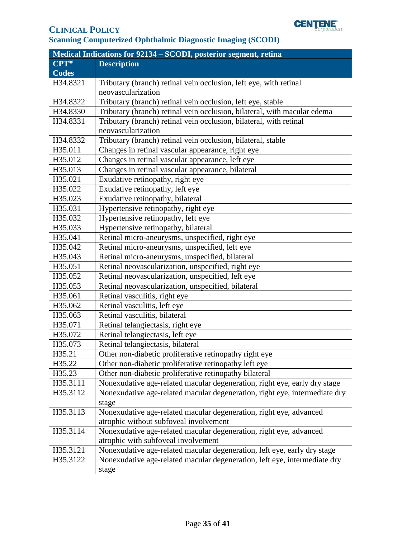

|              | <b>Medical Indications for 92134 - SCODI, posterior segment, retina</b>    |
|--------------|----------------------------------------------------------------------------|
| <b>CPT®</b>  | <b>Description</b>                                                         |
| <b>Codes</b> |                                                                            |
| H34.8321     | Tributary (branch) retinal vein occlusion, left eye, with retinal          |
|              | neovascularization                                                         |
| H34.8322     | Tributary (branch) retinal vein occlusion, left eye, stable                |
| H34.8330     | Tributary (branch) retinal vein occlusion, bilateral, with macular edema   |
| H34.8331     | Tributary (branch) retinal vein occlusion, bilateral, with retinal         |
|              | neovascularization                                                         |
| H34.8332     | Tributary (branch) retinal vein occlusion, bilateral, stable               |
| H35.011      | Changes in retinal vascular appearance, right eye                          |
| H35.012      | Changes in retinal vascular appearance, left eye                           |
| H35.013      | Changes in retinal vascular appearance, bilateral                          |
| H35.021      | Exudative retinopathy, right eye                                           |
| H35.022      | Exudative retinopathy, left eye                                            |
| H35.023      | Exudative retinopathy, bilateral                                           |
| H35.031      | Hypertensive retinopathy, right eye                                        |
| H35.032      | Hypertensive retinopathy, left eye                                         |
| H35.033      | Hypertensive retinopathy, bilateral                                        |
| H35.041      | Retinal micro-aneurysms, unspecified, right eye                            |
| H35.042      | Retinal micro-aneurysms, unspecified, left eye                             |
| H35.043      | Retinal micro-aneurysms, unspecified, bilateral                            |
| H35.051      | Retinal neovascularization, unspecified, right eye                         |
| H35.052      | Retinal neovascularization, unspecified, left eye                          |
| H35.053      | Retinal neovascularization, unspecified, bilateral                         |
| H35.061      | Retinal vasculitis, right eye                                              |
| H35.062      | Retinal vasculitis, left eye                                               |
| H35.063      | Retinal vasculitis, bilateral                                              |
| H35.071      | Retinal telangiectasis, right eye                                          |
| H35.072      | Retinal telangiectasis, left eye                                           |
| H35.073      | Retinal telangiectasis, bilateral                                          |
| H35.21       | Other non-diabetic proliferative retinopathy right eye                     |
| H35.22       | Other non-diabetic proliferative retinopathy left eye                      |
| H35.23       | Other non-diabetic proliferative retinopathy bilateral                     |
| H35.3111     | Nonexudative age-related macular degeneration, right eye, early dry stage  |
| H35.3112     | Nonexudative age-related macular degeneration, right eye, intermediate dry |
|              | stage                                                                      |
| H35.3113     | Nonexudative age-related macular degeneration, right eye, advanced         |
|              | atrophic without subfoveal involvement                                     |
| H35.3114     | Nonexudative age-related macular degeneration, right eye, advanced         |
|              | atrophic with subfoveal involvement                                        |
| H35.3121     | Nonexudative age-related macular degeneration, left eye, early dry stage   |
| H35.3122     | Nonexudative age-related macular degeneration, left eye, intermediate dry  |
|              | stage                                                                      |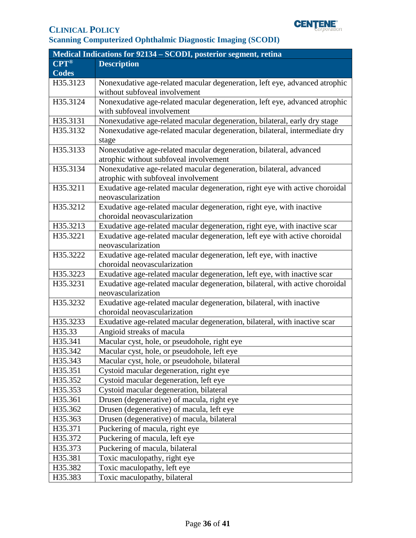

| Medical Indications for 92134 – SCODI, posterior segment, retina |                                                                              |  |
|------------------------------------------------------------------|------------------------------------------------------------------------------|--|
| <b>CPT®</b>                                                      | <b>Description</b>                                                           |  |
| <b>Codes</b>                                                     |                                                                              |  |
| H35.3123                                                         | Nonexudative age-related macular degeneration, left eye, advanced atrophic   |  |
|                                                                  | without subfoveal involvement                                                |  |
| H35.3124                                                         | Nonexudative age-related macular degeneration, left eye, advanced atrophic   |  |
|                                                                  | with subfoveal involvement                                                   |  |
| H35.3131                                                         | Nonexudative age-related macular degeneration, bilateral, early dry stage    |  |
| H35.3132                                                         | Nonexudative age-related macular degeneration, bilateral, intermediate dry   |  |
|                                                                  | stage                                                                        |  |
| H35.3133                                                         | Nonexudative age-related macular degeneration, bilateral, advanced           |  |
|                                                                  | atrophic without subfoveal involvement                                       |  |
| H35.3134                                                         | Nonexudative age-related macular degeneration, bilateral, advanced           |  |
|                                                                  | atrophic with subfoveal involvement                                          |  |
| H35.3211                                                         | Exudative age-related macular degeneration, right eye with active choroidal  |  |
|                                                                  | neovascularization                                                           |  |
| H35.3212                                                         | Exudative age-related macular degeneration, right eye, with inactive         |  |
|                                                                  | choroidal neovascularization                                                 |  |
| H35.3213                                                         | Exudative age-related macular degeneration, right eye, with inactive scar    |  |
| H35.3221                                                         | Exudative age-related macular degeneration, left eye with active choroidal   |  |
|                                                                  | neovascularization                                                           |  |
| H35.3222                                                         | Exudative age-related macular degeneration, left eye, with inactive          |  |
|                                                                  | choroidal neovascularization                                                 |  |
| H35.3223                                                         | Exudative age-related macular degeneration, left eye, with inactive scar     |  |
| H35.3231                                                         | Exudative age-related macular degeneration, bilateral, with active choroidal |  |
|                                                                  | neovascularization                                                           |  |
| H35.3232                                                         | Exudative age-related macular degeneration, bilateral, with inactive         |  |
|                                                                  | choroidal neovascularization                                                 |  |
| H35.3233                                                         | Exudative age-related macular degeneration, bilateral, with inactive scar    |  |
| H35.33                                                           | Angioid streaks of macula                                                    |  |
| H35.341                                                          | Macular cyst, hole, or pseudohole, right eye                                 |  |
| H35.342                                                          | Macular cyst, hole, or pseudohole, left eye                                  |  |
| H35.343                                                          | Macular cyst, hole, or pseudohole, bilateral                                 |  |
| H35.351                                                          | Cystoid macular degeneration, right eye                                      |  |
| H35.352                                                          | Cystoid macular degeneration, left eye                                       |  |
| H35.353                                                          | Cystoid macular degeneration, bilateral                                      |  |
| H35.361                                                          | Drusen (degenerative) of macula, right eye                                   |  |
| H35.362                                                          | Drusen (degenerative) of macula, left eye                                    |  |
| H35.363                                                          | Drusen (degenerative) of macula, bilateral                                   |  |
| H35.371                                                          | Puckering of macula, right eye                                               |  |
| H35.372                                                          | Puckering of macula, left eye                                                |  |
| H35.373                                                          | Puckering of macula, bilateral                                               |  |
| H35.381                                                          | Toxic maculopathy, right eye                                                 |  |
| H35.382                                                          | Toxic maculopathy, left eye                                                  |  |
| H35.383                                                          | Toxic maculopathy, bilateral                                                 |  |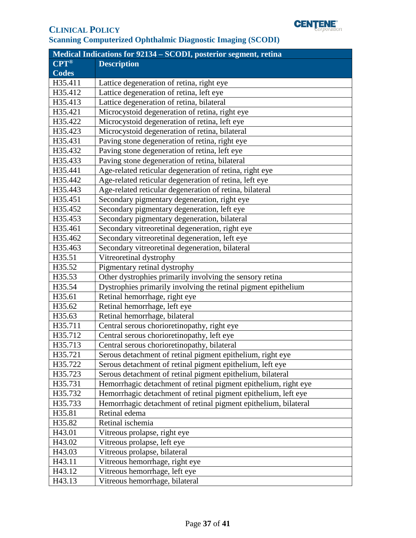

| Medical Indications for 92134 - SCODI, posterior segment, retina |                                                                 |  |
|------------------------------------------------------------------|-----------------------------------------------------------------|--|
| $CPT^{\circledR}$                                                | <b>Description</b>                                              |  |
| <b>Codes</b>                                                     |                                                                 |  |
| H35.411                                                          | Lattice degeneration of retina, right eye                       |  |
| H35.412                                                          | Lattice degeneration of retina, left eye                        |  |
| H35.413                                                          | Lattice degeneration of retina, bilateral                       |  |
| H35.421                                                          | Microcystoid degeneration of retina, right eye                  |  |
| H35.422                                                          | Microcystoid degeneration of retina, left eye                   |  |
| H35.423                                                          | Microcystoid degeneration of retina, bilateral                  |  |
| H35.431                                                          | Paving stone degeneration of retina, right eye                  |  |
| H35.432                                                          | Paving stone degeneration of retina, left eye                   |  |
| H35.433                                                          | Paving stone degeneration of retina, bilateral                  |  |
| H35.441                                                          | Age-related reticular degeneration of retina, right eye         |  |
| H35.442                                                          | Age-related reticular degeneration of retina, left eye          |  |
| H35.443                                                          | Age-related reticular degeneration of retina, bilateral         |  |
| H35.451                                                          | Secondary pigmentary degeneration, right eye                    |  |
| H35.452                                                          | Secondary pigmentary degeneration, left eye                     |  |
| H35.453                                                          | Secondary pigmentary degeneration, bilateral                    |  |
| H35.461                                                          | Secondary vitreoretinal degeneration, right eye                 |  |
| H35.462                                                          | Secondary vitreoretinal degeneration, left eye                  |  |
| H35.463                                                          | Secondary vitreoretinal degeneration, bilateral                 |  |
| H35.51                                                           | Vitreoretinal dystrophy                                         |  |
| H35.52                                                           | Pigmentary retinal dystrophy                                    |  |
| H35.53                                                           | Other dystrophies primarily involving the sensory retina        |  |
| H35.54                                                           | Dystrophies primarily involving the retinal pigment epithelium  |  |
| H35.61                                                           | Retinal hemorrhage, right eye                                   |  |
| H35.62                                                           | Retinal hemorrhage, left eye                                    |  |
| H35.63                                                           | Retinal hemorrhage, bilateral                                   |  |
| H35.711                                                          | Central serous chorioretinopathy, right eye                     |  |
| H35.712                                                          | Central serous chorioretinopathy, left eye                      |  |
| H35.713                                                          | Central serous chorioretinopathy, bilateral                     |  |
| H35.721                                                          | Serous detachment of retinal pigment epithelium, right eye      |  |
| H35.722                                                          | Serous detachment of retinal pigment epithelium, left eye       |  |
| H35.723                                                          | Serous detachment of retinal pigment epithelium, bilateral      |  |
| H35.731                                                          | Hemorrhagic detachment of retinal pigment epithelium, right eye |  |
| H35.732                                                          | Hemorrhagic detachment of retinal pigment epithelium, left eye  |  |
| H35.733                                                          | Hemorrhagic detachment of retinal pigment epithelium, bilateral |  |
| H35.81                                                           | Retinal edema                                                   |  |
| H35.82                                                           | Retinal ischemia                                                |  |
| H43.01                                                           | Vitreous prolapse, right eye                                    |  |
| H43.02                                                           | Vitreous prolapse, left eye                                     |  |
| H43.03                                                           | Vitreous prolapse, bilateral                                    |  |
| H43.11                                                           | Vitreous hemorrhage, right eye                                  |  |
| H43.12                                                           | Vitreous hemorrhage, left eye                                   |  |
| H43.13                                                           | Vitreous hemorrhage, bilateral                                  |  |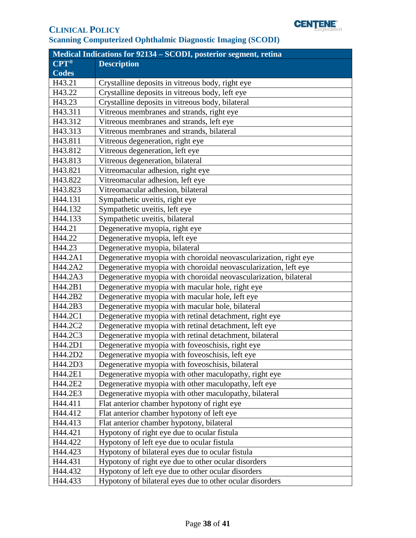

| <b>Medical Indications for 92134 - SCODI, posterior segment, retina</b> |                                                                  |  |  |  |
|-------------------------------------------------------------------------|------------------------------------------------------------------|--|--|--|
| <b>CPT®</b>                                                             | <b>Description</b>                                               |  |  |  |
| <b>Codes</b>                                                            |                                                                  |  |  |  |
| H43.21                                                                  | Crystalline deposits in vitreous body, right eye                 |  |  |  |
| H43.22                                                                  | Crystalline deposits in vitreous body, left eye                  |  |  |  |
| H43.23                                                                  | Crystalline deposits in vitreous body, bilateral                 |  |  |  |
| H43.311                                                                 | Vitreous membranes and strands, right eye                        |  |  |  |
| H43.312                                                                 | Vitreous membranes and strands, left eye                         |  |  |  |
| H43.313                                                                 | Vitreous membranes and strands, bilateral                        |  |  |  |
| H43.811                                                                 | Vitreous degeneration, right eye                                 |  |  |  |
| H43.812                                                                 | Vitreous degeneration, left eye                                  |  |  |  |
| H43.813                                                                 | Vitreous degeneration, bilateral                                 |  |  |  |
| H43.821                                                                 | Vitreomacular adhesion, right eye                                |  |  |  |
| H43.822                                                                 | Vitreomacular adhesion, left eye                                 |  |  |  |
| H43.823                                                                 | Vitreomacular adhesion, bilateral                                |  |  |  |
| H44.131                                                                 | Sympathetic uveitis, right eye                                   |  |  |  |
| H44.132                                                                 | Sympathetic uveitis, left eye                                    |  |  |  |
| H44.133                                                                 | Sympathetic uveitis, bilateral                                   |  |  |  |
| H44.21                                                                  | Degenerative myopia, right eye                                   |  |  |  |
| H44.22                                                                  | Degenerative myopia, left eye                                    |  |  |  |
| H44.23                                                                  | Degenerative myopia, bilateral                                   |  |  |  |
| H44.2A1                                                                 | Degenerative myopia with choroidal neovascularization, right eye |  |  |  |
| H44.2A2                                                                 | Degenerative myopia with choroidal neovascularization, left eye  |  |  |  |
| H44.2A3                                                                 | Degenerative myopia with choroidal neovascularization, bilateral |  |  |  |
| H44.2B1                                                                 | Degenerative myopia with macular hole, right eye                 |  |  |  |
| H44.2B2                                                                 | Degenerative myopia with macular hole, left eye                  |  |  |  |
| H44.2B3                                                                 | Degenerative myopia with macular hole, bilateral                 |  |  |  |
| H44.2C1                                                                 | Degenerative myopia with retinal detachment, right eye           |  |  |  |
| H44.2C2                                                                 | Degenerative myopia with retinal detachment, left eye            |  |  |  |
| H44.2C3                                                                 | Degenerative myopia with retinal detachment, bilateral           |  |  |  |
| H44.2D1                                                                 | Degenerative myopia with foveoschisis, right eye                 |  |  |  |
| H44.2D2                                                                 | Degenerative myopia with foveoschisis, left eye                  |  |  |  |
| H44.2D3                                                                 | Degenerative myopia with foveoschisis, bilateral                 |  |  |  |
| H44.2E1                                                                 | Degenerative myopia with other maculopathy, right eye            |  |  |  |
| H44.2E2                                                                 | Degenerative myopia with other maculopathy, left eye             |  |  |  |
| H44.2E3                                                                 | Degenerative myopia with other maculopathy, bilateral            |  |  |  |
| H44.411                                                                 | Flat anterior chamber hypotony of right eye                      |  |  |  |
| H44.412                                                                 | Flat anterior chamber hypotony of left eye                       |  |  |  |
| H44.413                                                                 | Flat anterior chamber hypotony, bilateral                        |  |  |  |
| H44.421                                                                 | Hypotony of right eye due to ocular fistula                      |  |  |  |
| H44.422                                                                 | Hypotony of left eye due to ocular fistula                       |  |  |  |
| H44.423                                                                 | Hypotony of bilateral eyes due to ocular fistula                 |  |  |  |
| H44.431                                                                 | Hypotony of right eye due to other ocular disorders              |  |  |  |
| H44.432                                                                 | Hypotony of left eye due to other ocular disorders               |  |  |  |
| H44.433                                                                 | Hypotony of bilateral eyes due to other ocular disorders         |  |  |  |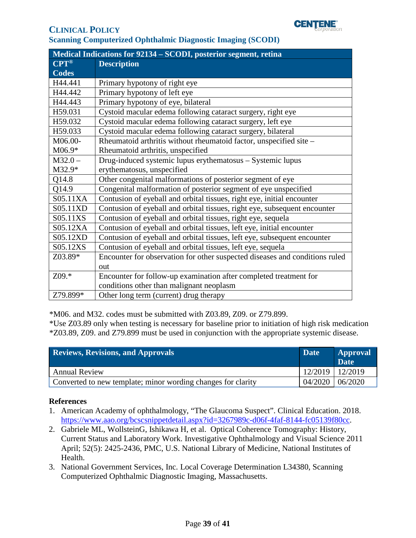

| Medical Indications for 92134 - SCODI, posterior segment, retina |                                                                             |  |  |
|------------------------------------------------------------------|-----------------------------------------------------------------------------|--|--|
| $CPT^{\circledR}$                                                | <b>Description</b>                                                          |  |  |
| <b>Codes</b>                                                     |                                                                             |  |  |
| H44.441                                                          | Primary hypotony of right eye                                               |  |  |
| H44.442                                                          | Primary hypotony of left eye                                                |  |  |
| H44.443                                                          | Primary hypotony of eye, bilateral                                          |  |  |
| H59.031                                                          | Cystoid macular edema following cataract surgery, right eye                 |  |  |
| H59.032                                                          | Cystoid macular edema following cataract surgery, left eye                  |  |  |
| H59.033                                                          | Cystoid macular edema following cataract surgery, bilateral                 |  |  |
| M06.00-                                                          | Rheumatoid arthritis without rheumatoid factor, unspecified site -          |  |  |
| $M06.9*$                                                         | Rheumatoid arthritis, unspecified                                           |  |  |
| $M32.0 -$                                                        | Drug-induced systemic lupus erythematosus - Systemic lupus                  |  |  |
| M32.9*                                                           | erythematosus, unspecified                                                  |  |  |
| Q14.8                                                            | Other congenital malformations of posterior segment of eye                  |  |  |
| Q14.9                                                            | Congenital malformation of posterior segment of eye unspecified             |  |  |
| S05.11XA                                                         | Contusion of eyeball and orbital tissues, right eye, initial encounter      |  |  |
| S05.11XD                                                         | Contusion of eyeball and orbital tissues, right eye, subsequent encounter   |  |  |
| S05.11XS                                                         | Contusion of eyeball and orbital tissues, right eye, sequela                |  |  |
| S05.12XA                                                         | Contusion of eyeball and orbital tissues, left eye, initial encounter       |  |  |
| S05.12XD                                                         | Contusion of eyeball and orbital tissues, left eye, subsequent encounter    |  |  |
| S05.12XS                                                         | Contusion of eyeball and orbital tissues, left eye, sequela                 |  |  |
| Z03.89*                                                          | Encounter for observation for other suspected diseases and conditions ruled |  |  |
|                                                                  | out                                                                         |  |  |
| Z09.*                                                            | Encounter for follow-up examination after completed treatment for           |  |  |
|                                                                  | conditions other than malignant neoplasm                                    |  |  |
| Z79.899*                                                         | Other long term (current) drug therapy                                      |  |  |

\*M06. and M32. codes must be submitted with Z03.89, Z09. or Z79.899.

\*Use Z03.89 only when testing is necessary for baseline prior to initiation of high risk medication \*Z03.89, Z09. and Z79.899 must be used in conjunction with the appropriate systemic disease.

<span id="page-38-0"></span>

| <b>Reviews, Revisions, and Approvals</b>                     | <b>Date</b>     | <b>Approval</b><br><b>Date</b> |
|--------------------------------------------------------------|-----------------|--------------------------------|
| <b>Annual Review</b>                                         | 12/2019 12/2019 |                                |
| Converted to new template; minor wording changes for clarity |                 | $04/2020$   06/2020            |

#### **References**

- 1. American Academy of ophthalmology, "The Glaucoma Suspect". Clinical Education. 2018. [https://www.aao.org/bcscsnippetdetail.aspx?id=3267989c-d06f-4faf-8144-fc05139f80cc.](https://www.aao.org/bcscsnippetdetail.aspx?id=3267989c-d06f-4faf-8144-fc05139f80cc)
- 2. Gabriele ML, WollsteinG, Ishikawa H, et al. Optical Coherence Tomography: History, Current Status and Laboratory Work. Investigative Ophthalmology and Visual Science 2011 April; 52(5): 2425-2436, PMC, U.S. National Library of Medicine, National Institutes of Health.
- 3. National Government Services, Inc. Local Coverage Determination L34380, Scanning Computerized Ophthalmic Diagnostic Imaging, Massachusetts.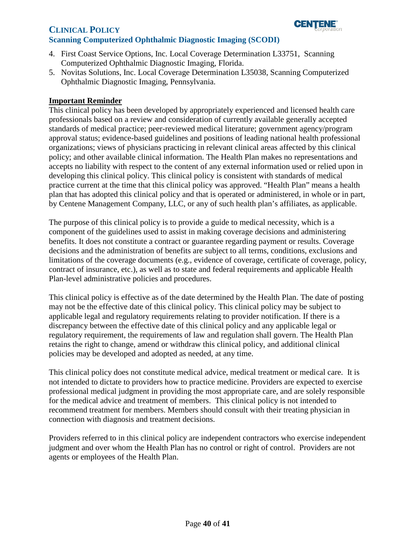

- 4. First Coast Service Options, Inc. Local Coverage Determination L33751, Scanning Computerized Ophthalmic Diagnostic Imaging, Florida.
- 5. Novitas Solutions, Inc. Local Coverage Determination L35038, Scanning Computerized Ophthalmic Diagnostic Imaging, Pennsylvania.

#### <span id="page-39-0"></span>**Important Reminder**

This clinical policy has been developed by appropriately experienced and licensed health care professionals based on a review and consideration of currently available generally accepted standards of medical practice; peer-reviewed medical literature; government agency/program approval status; evidence-based guidelines and positions of leading national health professional organizations; views of physicians practicing in relevant clinical areas affected by this clinical policy; and other available clinical information. The Health Plan makes no representations and accepts no liability with respect to the content of any external information used or relied upon in developing this clinical policy. This clinical policy is consistent with standards of medical practice current at the time that this clinical policy was approved. "Health Plan" means a health plan that has adopted this clinical policy and that is operated or administered, in whole or in part, by Centene Management Company, LLC, or any of such health plan's affiliates, as applicable.

The purpose of this clinical policy is to provide a guide to medical necessity, which is a component of the guidelines used to assist in making coverage decisions and administering benefits. It does not constitute a contract or guarantee regarding payment or results. Coverage decisions and the administration of benefits are subject to all terms, conditions, exclusions and limitations of the coverage documents (e.g., evidence of coverage, certificate of coverage, policy, contract of insurance, etc.), as well as to state and federal requirements and applicable Health Plan-level administrative policies and procedures.

This clinical policy is effective as of the date determined by the Health Plan. The date of posting may not be the effective date of this clinical policy. This clinical policy may be subject to applicable legal and regulatory requirements relating to provider notification. If there is a discrepancy between the effective date of this clinical policy and any applicable legal or regulatory requirement, the requirements of law and regulation shall govern. The Health Plan retains the right to change, amend or withdraw this clinical policy, and additional clinical policies may be developed and adopted as needed, at any time.

This clinical policy does not constitute medical advice, medical treatment or medical care. It is not intended to dictate to providers how to practice medicine. Providers are expected to exercise professional medical judgment in providing the most appropriate care, and are solely responsible for the medical advice and treatment of members. This clinical policy is not intended to recommend treatment for members. Members should consult with their treating physician in connection with diagnosis and treatment decisions.

Providers referred to in this clinical policy are independent contractors who exercise independent judgment and over whom the Health Plan has no control or right of control. Providers are not agents or employees of the Health Plan.